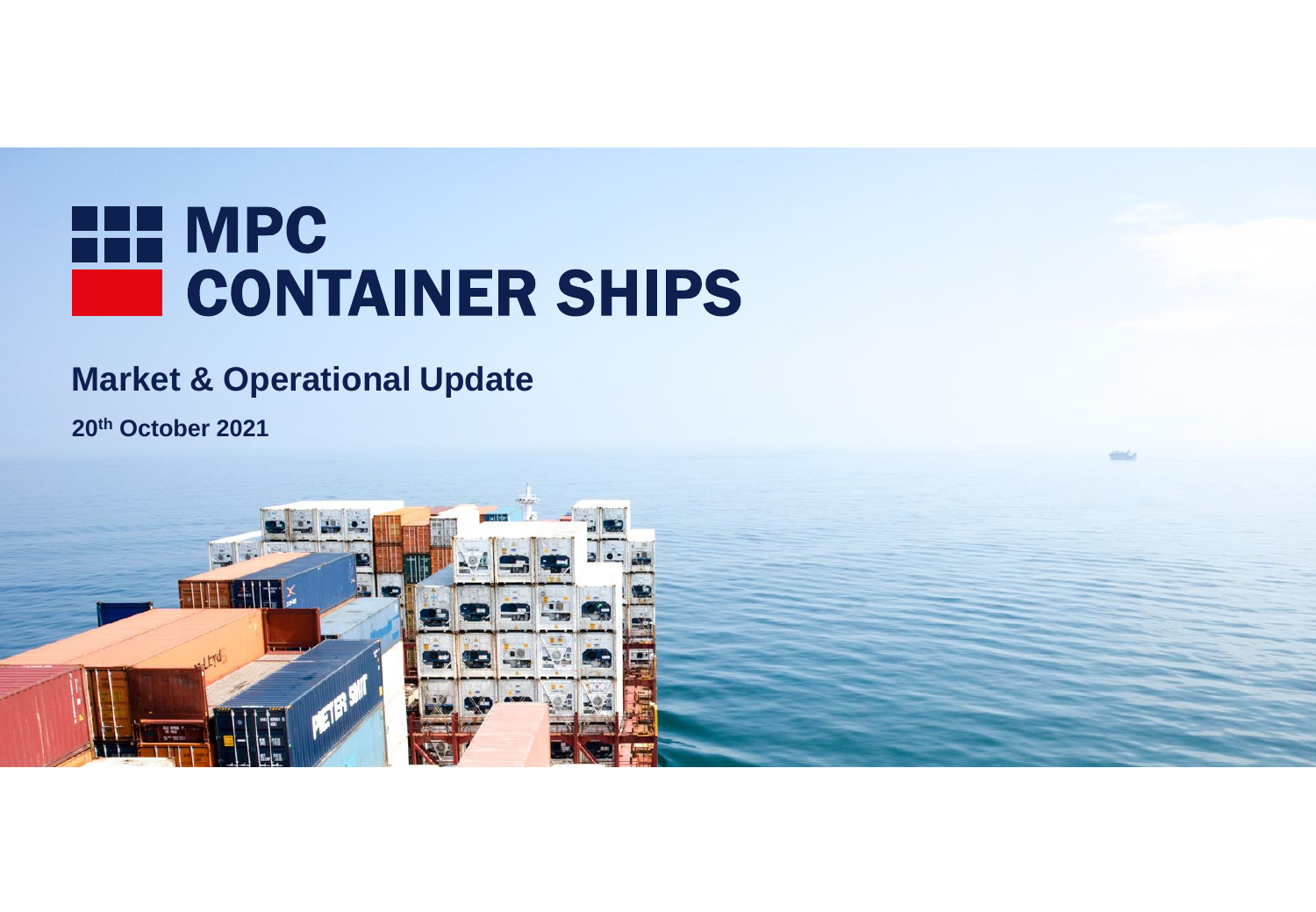# HE MPC **CONTAINER SHIPS**

# **Market & Operational Update**

**20th October 2021**

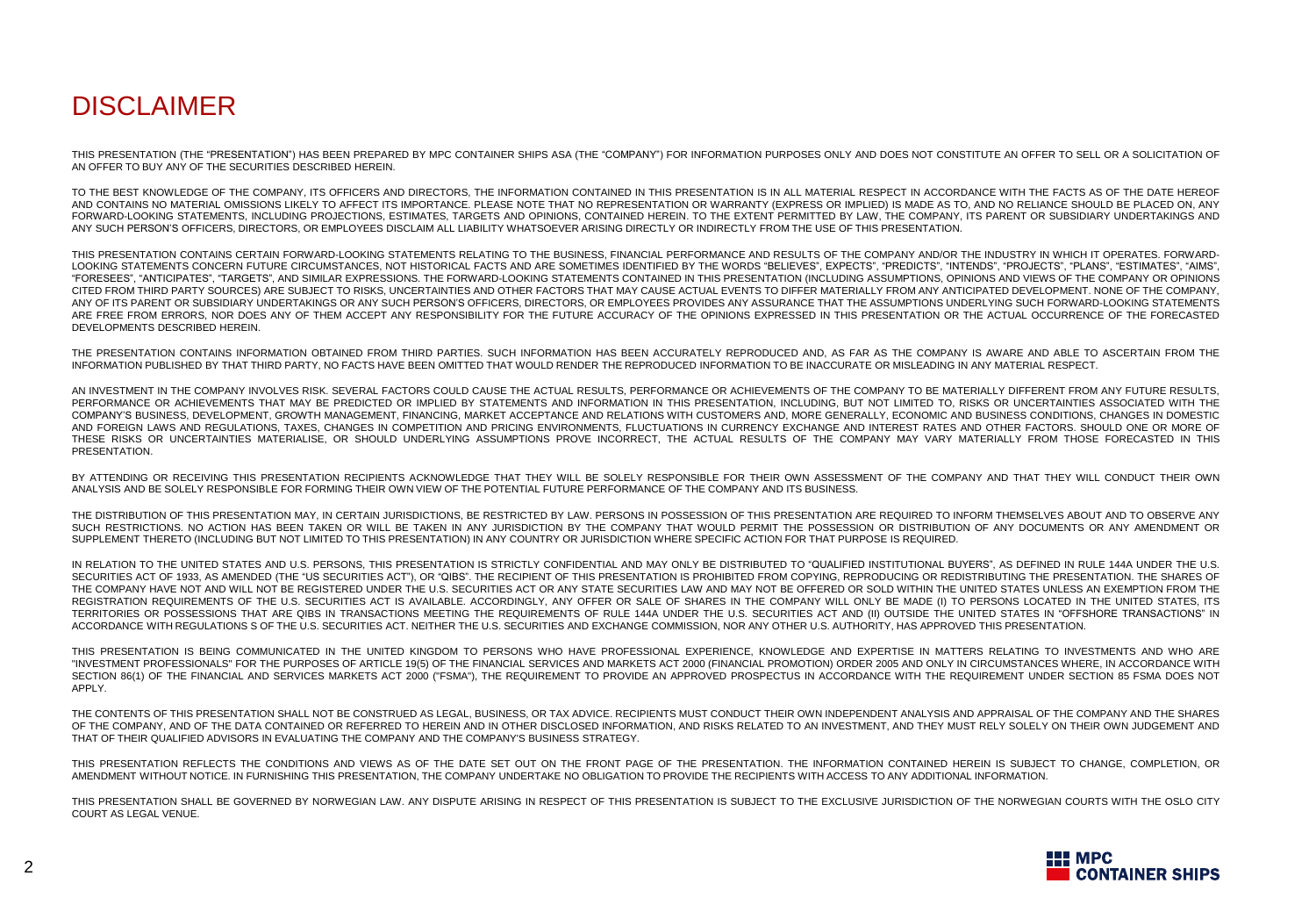## DISCI AIMER

THIS PRESENTATION (THE "PRESENTATION") HAS BEEN PREPARED BY MPC CONTAINER SHIPS ASA (THE "COMPANY") FOR INFORMATION PURPOSES ONLY AND DOES NOT CONSTITUTE AN OFFER TO SELL OR A SOLICITATION OF AN OFFER TO BUY ANY OF THE SECURITIES DESCRIBED HEREIN.

TO THE BEST KNOWLEDGE OF THE COMPANY, ITS OFFICERS AND DIRECTORS, THE INFORMATION CONTAINED IN THIS PRESENTATION IS IN ALL MATERIAL RESPECT IN ACCORDANCE WITH THE FACTS AS OF THE DATE HEREOF AND CONTAINS NO MATERIAL OMISSIONS LIKELY TO AFFECT ITS IMPORTANCE. PLEASE NOTE THAT NO REPRESENTATION OR WARRANTY (EXPRESS OR IMPLIED) IS MADE AS TO, AND NO RELIANCE SHOULD BE PLACED ON, ANY FORWARD-LOOKING STATEMENTS, INCLUDING PROJECTIONS, ESTIMATES, TARGETS AND OPINIONS, CONTAINED HEREIN. TO THE EXTENT PERMITTED BY LAW, THE COMPANY, ITS PARENT OR SUBSIDIARY UNDERTAKINGS AND ANY SUCH PERSON'S OFFICERS, DIRECTORS, OR EMPLOYEES DISCLAIM ALL LIABILITY WHATSOEVER ARISING DIRECTLY OR INDIRECTLY FROM THE USE OF THIS PRESENTATION.

THIS PRESENTATION CONTAINS CERTAIN FORWARD-LOOKING STATEMENTS RELATING TO THE BUSINESS, FINANCIAL PERFORMANCE AND RESULTS OF THE COMPANY AND/OR THE INDUSTRY IN WHICH IT OPERATES. FORWARD-LOOKING STATEMENTS CONCERN FUTURE CIRCUMSTANCES, NOT HISTORICAL FACTS AND ARE SOMETIMES IDENTIFIED BY THE WORDS "BELIEVES", EXPECTS", "PREDICTS", "INTENDS", "PROJECTS", "PLANS", "ESTIMATES", "AIMS", "FORESEES", "ANTICIPATES", "TARGETS", AND SIMILAR EXPRESSIONS. THE FORWARD-LOOKING STATEMENTS CONTAINED IN THIS PRESENTATION (INCLUDING ASSUMPTIONS, OPINIONS AND VIEWS OF THE COMPANY OR OPINIONS CITED FROM THIRD PARTY SOURCES) ARE SUBJECT TO RISKS, UNCERTAINTIES AND OTHER FACTORS THAT MAY CAUSE ACTUAL EVENTS TO DIFFER MATERIALLY FROM ANY ANTICIPATED DEVELOPMENT. NONE OF THE COMPANY, ANY OF ITS PARENT OR SUBSIDIARY UNDERTAKINGS OR ANY SUCH PERSON'S OFFICERS, DIRECTORS, OR EMPLOYEES PROVIDES ANY ASSURANCE THAT THE ASSUMPTIONS UNDERLYING SUCH FORWARD-LOOKING STATEMENTS ARE FREE FROM ERRORS, NOR DOES ANY OF THEM ACCEPT ANY RESPONSIBILITY FOR THE FUTURE ACCURACY OF THE OPINIONS EXPRESSED IN THIS PRESENTATION OR THE ACTUAL OCCURRENCE OF THE FORECASTED DEVELOPMENTS DESCRIBED HEREIN.

THE PRESENTATION CONTAINS INFORMATION OBTAINED FROM THIRD PARTIES. SUCH INFORMATION HAS BEEN ACCURATELY REPRODUCED AND, AS FAR AS THE COMPANY IS AWARE AND ABLE TO ASCERTAIN FROM THE INFORMATION PUBLISHED BY THAT THIRD PARTY, NO FACTS HAVE BEEN OMITTED THAT WOULD RENDER THE REPRODUCED INFORMATION TO BE INACCURATE OR MISLEADING IN ANY MATERIAL RESPECT.

AN INVESTMENT IN THE COMPANY INVOLVES RISK. SEVERAL FACTORS COULD CAUSE THE ACTUAL RESULTS, PERFORMANCE OR ACHIEVEMENTS OF THE COMPANY TO BE MATERIALLY DIFFERENT FROM ANY FUTURE RESULTS, PERFORMANCE OR ACHIEVEMENTS THAT MAY BE PREDICTED OR IMPLIED BY STATEMENTS AND INFORMATION IN THIS PRESENTATION, INCLUDING, BUT NOT LIMITED TO, RISKS OR UNCERTAINTIES ASSOCIATED WITH THE COMPANY'S BUSINESS, DEVELOPMENT, GROWTH MANAGEMENT, FINANCING, MARKET ACCEPTANCE AND RELATIONS WITH CUSTOMERS AND, MORE GENERALLY, ECONOMIC AND BUSINESS CONDITIONS, CHANGES IN DOMESTIC AND FOREIGN LAWS AND REGULATIONS, TAXES, CHANGES IN COMPETITION AND PRICING ENVIRONMENTS, FLUCTUATIONS IN CURRENCY EXCHANGE AND INTEREST RATES AND OTHER FACTORS. SHOULD ONE OR MORE OF THESE RISKS OR UNCERTAINTIES MATERIALISE, OR SHOULD UNDERLYING ASSUMPTIONS PROVE INCORRECT, THE ACTUAL RESULTS OF THE COMPANY MAY VARY MATERIALLY FROM THOSE FORECASTED IN THIS PRESENTATION.

BY ATTENDING OR RECEIVING THIS PRESENTATION RECIPIENTS ACKNOWLEDGE THAT THEY WILL BE SOLELY RESPONSIBLE FOR THEIR OWN ASSESSMENT OF THE COMPANY AND THAT THEY WILL CONDUCT THEIR OWN ANALYSIS AND BE SOLELY RESPONSIBLE FOR FORMING THEIR OWN VIEW OF THE POTENTIAL FUTURE PERFORMANCE OF THE COMPANY AND ITS BUSINESS.

THE DISTRIBUTION OF THIS PRESENTATION MAY, IN CERTAIN JURISDICTIONS, BE RESTRICTED BY LAW. PERSONS IN POSSESSION OF THIS PRESENTATION ARE REQUIRED TO INFORM THEMSELVES ABOUT AND TO OBSERVE ANY SUCH RESTRICTIONS. NO ACTION HAS BEEN TAKEN OR WILL BE TAKEN IN ANY JURISDICTION BY THE COMPANY THAT WOULD PERMIT THE POSSESSION OR DISTRIBUTION OF ANY DOCUMENTS OR ANY AMENDMENT OR SUPPLEMENT THERETO (INCLUDING BUT NOT LIMITED TO THIS PRESENTATION) IN ANY COUNTRY OR JURISDICTION WHERE SPECIFIC ACTION FOR THAT PURPOSE IS REQUIRED.

IN RELATION TO THE UNITED STATES AND U.S. PERSONS, THIS PRESENTATION IS STRICTLY CONFIDENTIAL AND MAY ONLY BE DISTRIBUTED TO "QUALIFIED INSTITUTIONAL BUYERS", AS DEFINED IN RULE 144A UNDER THE U.S. SECURITIES ACT OF 1933, AS AMENDED (THE "US SECURITIES ACT"), OR "QIBS", THE RECIPIENT OF THIS PRESENTATION IS PROHIBITED FROM COPYING, REPRODUCING OR REDISTRIBUTING THE PRESENTATION, THE SHARES OF THE COMPANY HAVE NOT AND WILL NOT BE REGISTERED UNDER THE U.S. SECURITIES ACT OR ANY STATE SECURITIES LAW AND MAY NOT BE OFFERED OR SOLD WITHIN THE UNITED STATES UNLESS AN EXEMPTION FROM THE REGISTRATION REQUIREMENTS OF THE U.S. SECURITIES ACT IS AVAILABLE. ACCORDINGLY, ANY OFFER OR SALE OF SHARES IN THE COMPANY WILL ONLY BE MADE (I) TO PERSONS LOCATED IN THE UNITED STATES, ITS TERRITORIES OR POSSESSIONS THAT ARE QIBS IN TRANSACTIONS MEETING THE REQUIREMENTS OF RULE 144A UNDER THE U.S. SECURITIES ACT AND (II) OUTSIDE THE UNITED STATES IN "OFFSHORE TRANSACTIONS" IN ACCORDANCE WITH REGULATIONS S OF THE U.S. SECURITIES ACT. NEITHER THE U.S. SECURITIES AND EXCHANGE COMMISSION, NOR ANY OTHER U.S. AUTHORITY, HAS APPROVED THIS PRESENTATION.

THIS PRESENTATION IS BEING COMMUNICATED IN THE UNITED KINGDOM TO PERSONS WHO HAVE PROFESSIONAL EXPERIENCE, KNOWLEDGE AND EXPERTISE IN MATTERS RELATING TO INVESTMENTS AND WHO ARE "INVESTMENT PROFESSIONALS" FOR THE PURPOSES OF ARTICLE 19(5) OF THE FINANCIAL SERVICES AND MARKETS ACT 2000 (FINANCIAL PROMOTION) ORDER 2005 AND ONLY IN CIRCUMSTANCES WHERE, IN ACCORDANCE WITH SECTION 86(1) OF THE FINANCIAL AND SERVICES MARKETS ACT 2000 ("FSMA"). THE REQUIREMENT TO PROVIDE AN APPROVED PROSPECTUS IN ACCORDANCE WITH THE REQUIREMENT UNDER SECTION 85 FSMA DOES NOT APPLY.

THE CONTENTS OF THIS PRESENTATION SHALL NOT BE CONSTRUED AS LEGAL, BUSINESS, OR TAX ADVICE. RECIPIENTS MUST CONDUCT THEIR OWN INDEPENDENT ANALYSIS AND APPRAISAL OF THE COMPANY AND THE SHARES OF THE COMPANY, AND OF THE DATA CONTAINED OR REFERRED TO HEREIN AND IN OTHER DISCLOSED INFORMATION, AND RISKS RELATED TO AN INVESTMENT, AND THEY MUST RELY SOLELY ON THEIR OWN JUDGEMENT AND THAT OF THEIR QUALIFIED ADVISORS IN EVALUATING THE COMPANY AND THE COMPANY'S BUSINESS STRATEGY.

THIS PRESENTATION REFLECTS THE CONDITIONS AND VIEWS AS OF THE DATE SET OUT ON THE FRONT PAGE OF THE PRESENTATION. THE INFORMATION CONTAINED HEREIN IS SUBJECT TO CHANGE, COMPLETION, OR AMENDMENT WITHOUT NOTICE. IN FURNISHING THIS PRESENTATION, THE COMPANY UNDERTAKE NO OBLIGATION TO PROVIDE THE RECIPIENTS WITH ACCESS TO ANY ADDITIONAL INFORMATION.

THIS PRESENTATION SHALL BE GOVERNED BY NORWEGIAN LAW. ANY DISPUTE ARISING IN RESPECT OF THIS PRESENTATION IS SUBJECT TO THE EXCLUSIVE JURISDICTION OF THE NORWEGIAN COURTS WITH THE OSLO CITY COURT AS LEGAL VENUE.

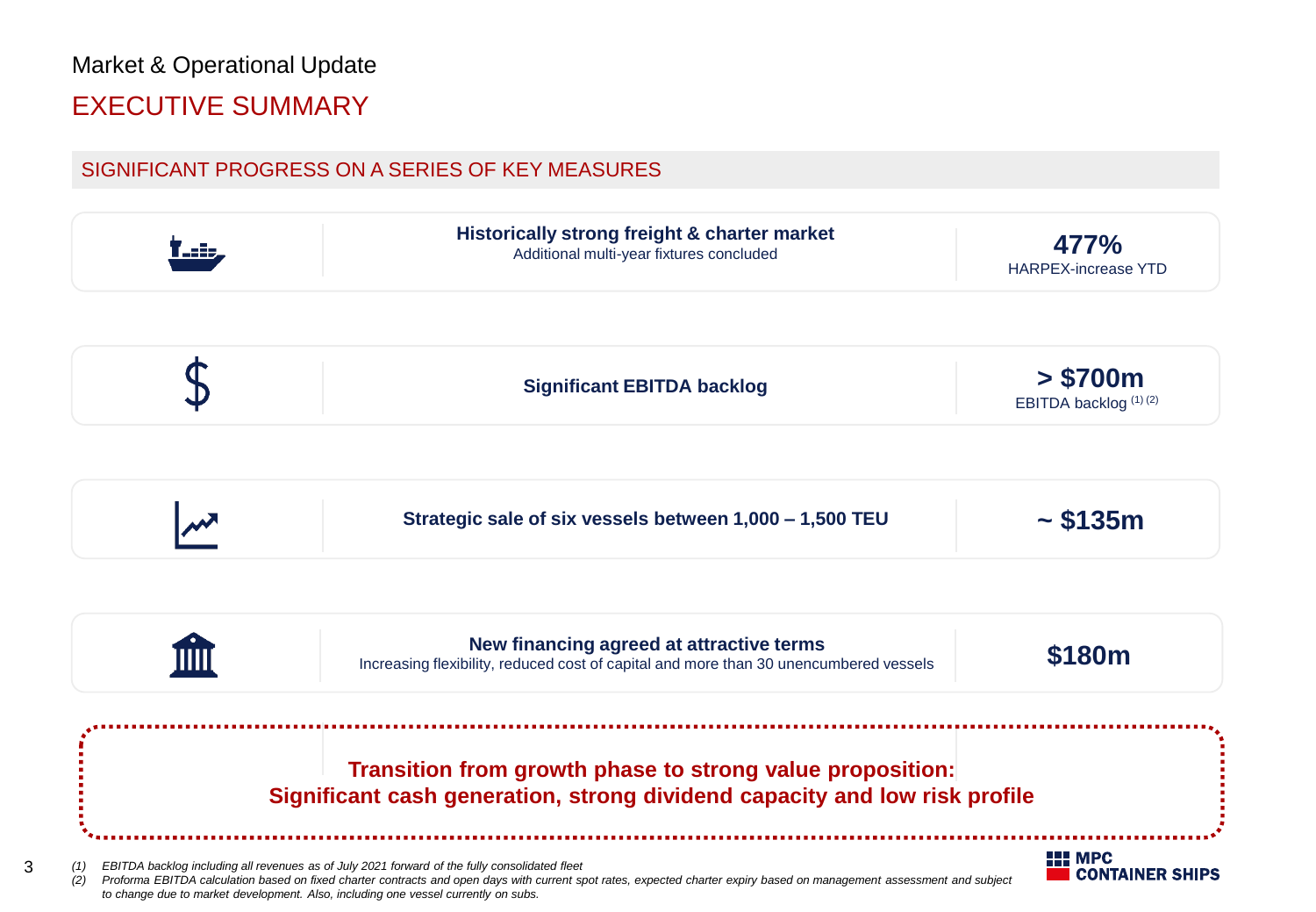# Market & Operational Update EXECUTIVE SUMMARY

3

### SIGNIFICANT PROGRESS ON A SERIES OF KEY MEASURES

|            | Historically strong freight & charter market<br>Additional multi-year fixtures concluded                                                                                                                                                                                                                                                                      | 477%<br><b>HARPEX-increase YTD</b>        |
|------------|---------------------------------------------------------------------------------------------------------------------------------------------------------------------------------------------------------------------------------------------------------------------------------------------------------------------------------------------------------------|-------------------------------------------|
|            | <b>Significant EBITDA backlog</b>                                                                                                                                                                                                                                                                                                                             | > \$700m<br>EBITDA backlog (1) (2)        |
|            | Strategic sale of six vessels between 1,000 - 1,500 TEU                                                                                                                                                                                                                                                                                                       | $\sim$ \$135m                             |
|            | New financing agreed at attractive terms<br>Increasing flexibility, reduced cost of capital and more than 30 unencumbered vessels                                                                                                                                                                                                                             | \$180m                                    |
|            | Transition from growth phase to strong value proposition:<br>Significant cash generation, strong dividend capacity and low risk profile                                                                                                                                                                                                                       |                                           |
| (1)<br>(2) | EBITDA backlog including all revenues as of July 2021 forward of the fully consolidated fleet<br>Proforma EBITDA calculation based on fixed charter contracts and open days with current spot rates, expected charter expiry based on management assessment and subject<br>to change due to market development. Also, including one vessel currently on subs. | <b>HILL</b> MPC<br><b>CONTAINER SHIPS</b> |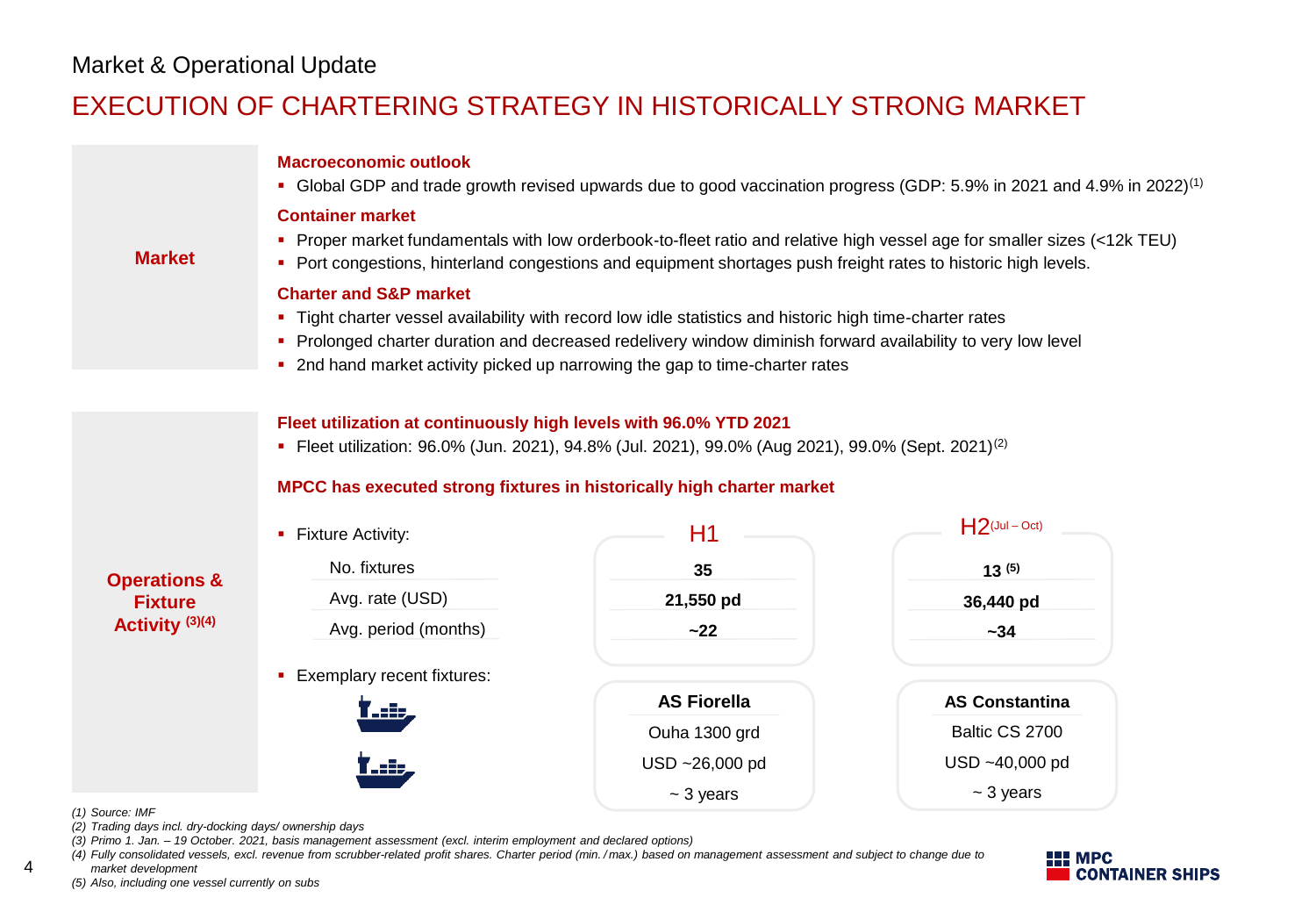## EXECUTION OF CHARTERING STRATEGY IN HISTORICALLY STRONG MARKET

|                         | <b>Macroeconomic outlook</b>                                                                                                                                                                                                                                                                                                                  |                    | • Global GDP and trade growth revised upwards due to good vaccination progress (GDP: 5.9% in 2021 and 4.9% in 2022) <sup>(1)</sup> |
|-------------------------|-----------------------------------------------------------------------------------------------------------------------------------------------------------------------------------------------------------------------------------------------------------------------------------------------------------------------------------------------|--------------------|------------------------------------------------------------------------------------------------------------------------------------|
| <b>Market</b>           | <b>Container market</b><br>• Port congestions, hinterland congestions and equipment shortages push freight rates to historic high levels.                                                                                                                                                                                                     |                    | Proper market fundamentals with low orderbook-to-fleet ratio and relative high vessel age for smaller sizes (<12k TEU)             |
|                         | <b>Charter and S&amp;P market</b><br>. Tight charter vessel availability with record low idle statistics and historic high time-charter rates<br>• Prolonged charter duration and decreased redelivery window diminish forward availability to very low level<br>• 2nd hand market activity picked up narrowing the gap to time-charter rates |                    |                                                                                                                                    |
|                         | Fleet utilization at continuously high levels with 96.0% YTD 2021<br>• Fleet utilization: 96.0% (Jun. 2021), 94.8% (Jul. 2021), 99.0% (Aug 2021), 99.0% (Sept. 2021) <sup>(2)</sup><br>MPCC has executed strong fixtures in historically high charter market                                                                                  |                    | $H2$ (Jul – Oct)                                                                                                                   |
|                         | • Fixture Activity:                                                                                                                                                                                                                                                                                                                           | H1                 |                                                                                                                                    |
| <b>Operations &amp;</b> | No. fixtures                                                                                                                                                                                                                                                                                                                                  | 35                 | 13(5)                                                                                                                              |
| <b>Fixture</b>          | Avg. rate (USD)                                                                                                                                                                                                                                                                                                                               | 21,550 pd          | 36,440 pd                                                                                                                          |
| Activity (3)(4)         | Avg. period (months)                                                                                                                                                                                                                                                                                                                          | $-22$              | $-34$                                                                                                                              |
|                         | • Exemplary recent fixtures:                                                                                                                                                                                                                                                                                                                  |                    |                                                                                                                                    |
|                         | <u>l dia</u>                                                                                                                                                                                                                                                                                                                                  | <b>AS Fiorella</b> | <b>AS Constantina</b>                                                                                                              |
|                         |                                                                                                                                                                                                                                                                                                                                               | Ouha 1300 grd      | Baltic CS 2700                                                                                                                     |
|                         |                                                                                                                                                                                                                                                                                                                                               | USD ~26,000 pd     | USD ~40,000 pd                                                                                                                     |
| (1) Source: IMF         |                                                                                                                                                                                                                                                                                                                                               | $~5$ years         | $~5$ years                                                                                                                         |

**HI MPC CONTAINER SHIPS** 

*market development (5) Also, including one vessel currently on subs*

*(2) Trading days incl. dry-docking days/ ownership days*

*(3) Primo 1. Jan. – 19 October. 2021, basis management assessment (excl. interim employment and declared options)*

*(4) Fully consolidated vessels, excl. revenue from scrubber-related profit shares. Charter period (min. / max.) based on management assessment and subject to change due to* 

4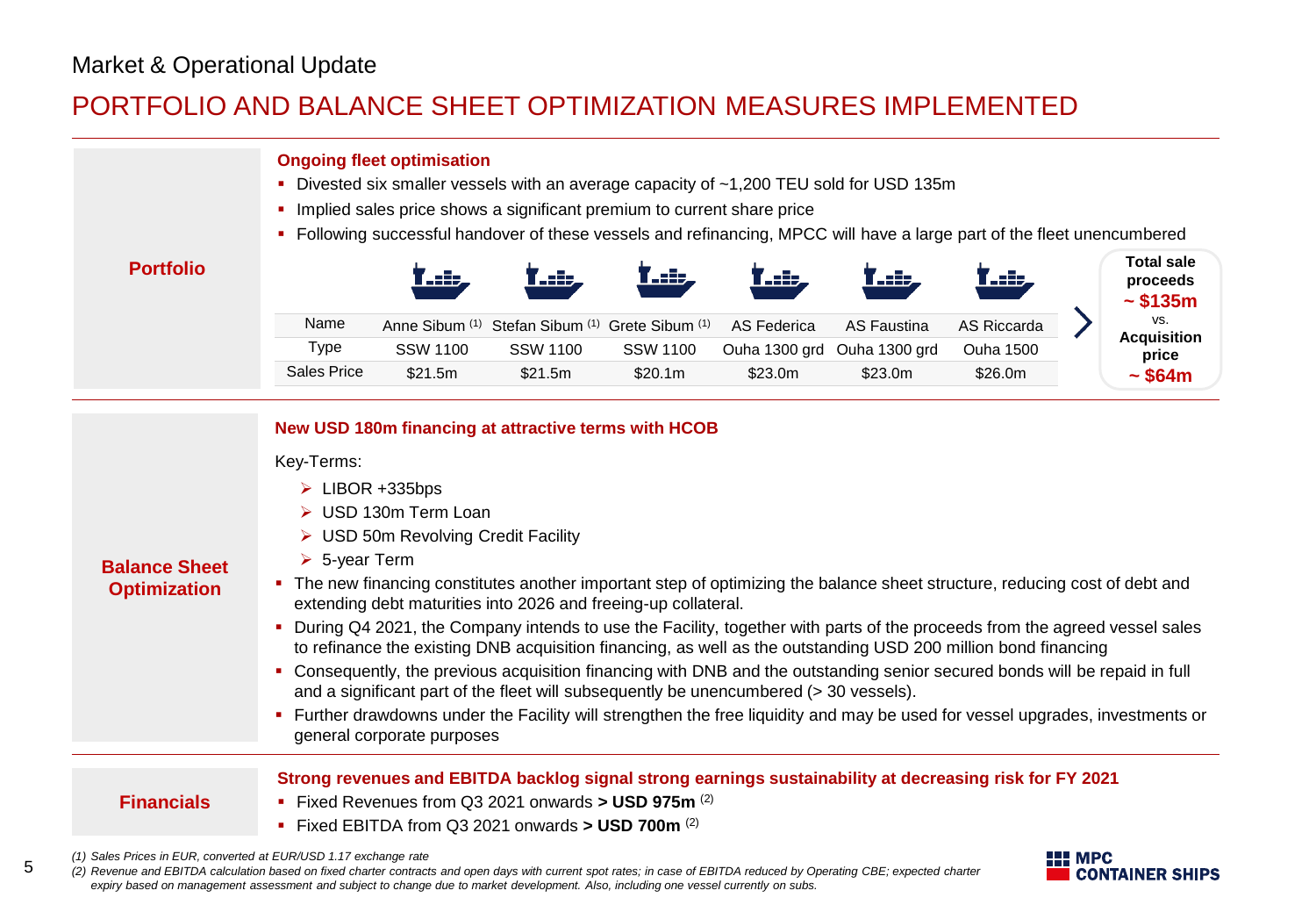5

## PORTFOLIO AND BALANCE SHEET OPTIMIZATION MEASURES IMPLEMENTED

| <b>Portfolio</b>                                                                                                                                                                                                                            | Name                                                                         | <b>Ongoing fleet optimisation</b>                                                         | • Divested six smaller vessels with an average capacity of ~1,200 TEU sold for USD 135m<br>• Implied sales price shows a significant premium to current share price<br>• Following successful handover of these vessels and refinancing, MPCC will have a large part of the fleet unencumbered<br>Anne Sibum (1) Stefan Sibum (1) Grete Sibum (1)                                                                                                                                                                                                                                                                                                                                                                                                                                                                                                               |                            | f stip<br>AS Federica | رائعہ '<br><b>AS Faustina</b>          | <b>AS Riccarda</b>          |                 | <b>Total sale</b><br>proceeds<br>$\sim$ \$135m<br>VS.<br><b>Acquisition</b> |
|---------------------------------------------------------------------------------------------------------------------------------------------------------------------------------------------------------------------------------------------|------------------------------------------------------------------------------|-------------------------------------------------------------------------------------------|-----------------------------------------------------------------------------------------------------------------------------------------------------------------------------------------------------------------------------------------------------------------------------------------------------------------------------------------------------------------------------------------------------------------------------------------------------------------------------------------------------------------------------------------------------------------------------------------------------------------------------------------------------------------------------------------------------------------------------------------------------------------------------------------------------------------------------------------------------------------|----------------------------|-----------------------|----------------------------------------|-----------------------------|-----------------|-----------------------------------------------------------------------------|
|                                                                                                                                                                                                                                             | Type<br><b>Sales Price</b>                                                   | <b>SSW 1100</b><br>\$21.5m                                                                | <b>SSW 1100</b><br>\$21.5m                                                                                                                                                                                                                                                                                                                                                                                                                                                                                                                                                                                                                                                                                                                                                                                                                                      | <b>SSW 1100</b><br>\$20.1m | \$23.0m               | Ouha 1300 grd Ouha 1300 grd<br>\$23.0m | <b>Ouha 1500</b><br>\$26.0m |                 | price<br>$\sim$ \$64m                                                       |
| <b>Balance Sheet</b><br><b>Optimization</b>                                                                                                                                                                                                 | Key-Terms:<br>$\triangleright$ LIBOR +335bps<br>$\triangleright$ 5-year Term | > USD 130m Term Loan<br>> USD 50m Revolving Credit Facility<br>general corporate purposes | New USD 180m financing at attractive terms with HCOB<br>• The new financing constitutes another important step of optimizing the balance sheet structure, reducing cost of debt and<br>extending debt maturities into 2026 and freeing-up collateral.<br>• During Q4 2021, the Company intends to use the Facility, together with parts of the proceeds from the agreed vessel sales<br>to refinance the existing DNB acquisition financing, as well as the outstanding USD 200 million bond financing<br>• Consequently, the previous acquisition financing with DNB and the outstanding senior secured bonds will be repaid in full<br>and a significant part of the fleet will subsequently be unencumbered (> 30 vessels).<br>• Further drawdowns under the Facility will strengthen the free liquidity and may be used for vessel upgrades, investments or |                            |                       |                                        |                             |                 |                                                                             |
| <b>Financials</b>                                                                                                                                                                                                                           |                                                                              |                                                                                           | Strong revenues and EBITDA backlog signal strong earnings sustainability at decreasing risk for FY 2021<br>Fixed Revenues from Q3 2021 onwards > USD 975m (2)<br>Fixed EBITDA from Q3 2021 onwards > USD 700m $(2)$                                                                                                                                                                                                                                                                                                                                                                                                                                                                                                                                                                                                                                             |                            |                       |                                        |                             |                 |                                                                             |
| (1) Sales Prices in EUR, converted at EUR/USD 1.17 exchange rate<br>(2) Revenue and EBITDA calculation based on fixed charter contracts and open days with current spot rates; in case of EBITDA reduced by Operating CBE; expected charter |                                                                              |                                                                                           |                                                                                                                                                                                                                                                                                                                                                                                                                                                                                                                                                                                                                                                                                                                                                                                                                                                                 |                            |                       |                                        |                             | <b>HILL MPC</b> | <b>CONTAINER SHIPS</b>                                                      |

*expiry based on management assessment and subject to change due to market development. Also, including one vessel currently on subs.*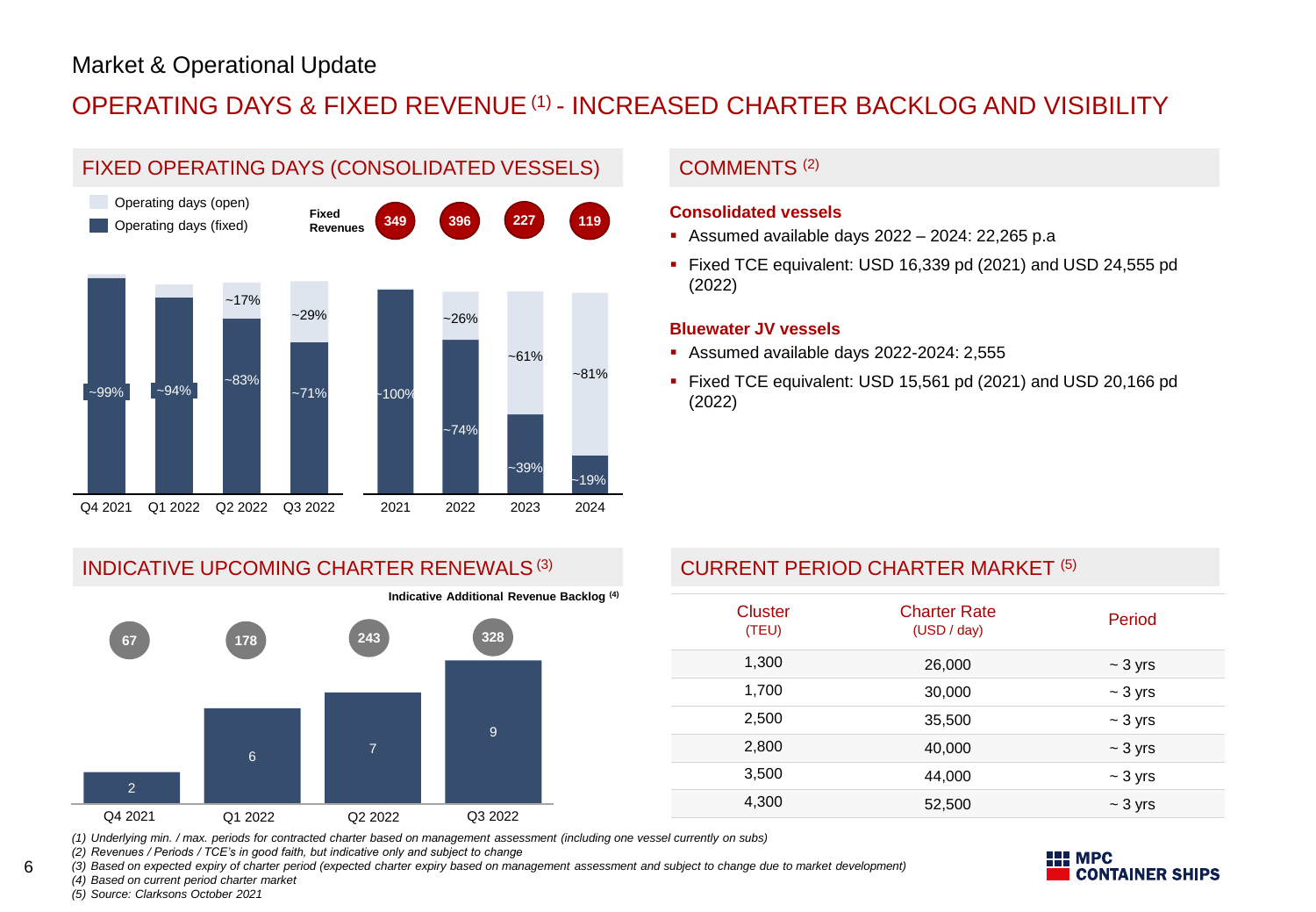## OPERATING DAYS & FIXED REVENUE(1) - INCREASED CHARTER BACKLOG AND VISIBILITY



### COMMENTS (2)

#### **Consolidated vessels**

- Assumed available days 2022 2024: 22,265 p.a
- Fixed TCE equivalent: USD 16,339 pd (2021) and USD 24,555 pd (2022)

#### **Bluewater JV vessels**

- Assumed available days 2022-2024: 2,555
- Fixed TCE equivalent: USD 15,561 pd (2021) and USD 20,166 pd (2022)

#### INDICATIVE UPCOMING CHARTER RENEWALS<sup>(3)</sup>



**Indicative Additional Revenue Backlog (4)**

### CURRENT PERIOD CHARTER MARKET (5)

| <b>Cluster</b><br>(TEU) | <b>Charter Rate</b><br>(USD / day) | Period       |
|-------------------------|------------------------------------|--------------|
| 1,300                   | 26,000                             | $\sim$ 3 yrs |
| 1,700                   | 30,000                             | $\sim$ 3 yrs |
| 2,500                   | 35,500                             | $\sim$ 3 yrs |
| 2,800                   | 40,000                             | $\sim$ 3 yrs |
| 3,500                   | 44,000                             | $\sim$ 3 yrs |
| 4,300                   | 52,500                             | $\sim$ 3 yrs |

**II** MPC

**CONTAINER SHIPS** 

*(1) Underlying min. / max. periods for contracted charter based on management assessment (including one vessel currently on subs)*

*(2) Revenues / Periods / TCE's in good faith, but indicative only and subject to change*

*(3) Based on expected expiry of charter period (expected charter expiry based on management assessment and subject to change due to market development) (4) Based on current period charter market*



6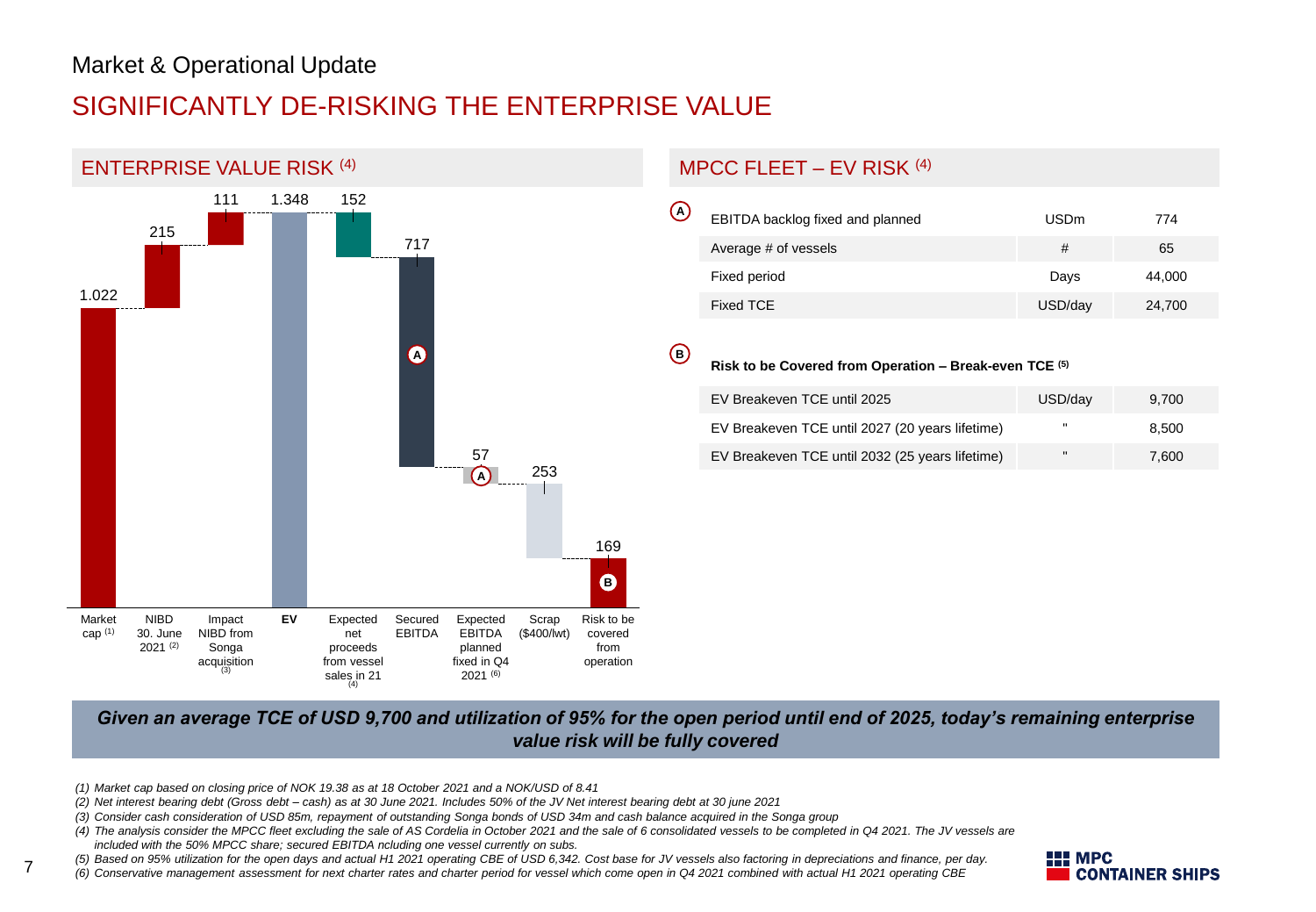# SIGNIFICANTLY DE-RISKING THE ENTERPRISE VALUE



## MPCC FLEET – EV RISK (4)

| $\overline{\omega}$ | EBITDA backlog fixed and planned | <b>USDm</b> | 774    |
|---------------------|----------------------------------|-------------|--------|
|                     | Average # of vessels             | #           | 65     |
|                     | Fixed period                     | Days        | 44,000 |
|                     | Fixed TCE                        | USD/day     | 24,700 |

#### **B**

#### **Risk to be Covered from Operation – Break-even TCE (5)**

| EV Breakeven TCE until 2025                     | USD/dav      | 9.700 |
|-------------------------------------------------|--------------|-------|
| EV Breakeven TCE until 2027 (20 years lifetime) |              | 8.500 |
| EV Breakeven TCE until 2032 (25 years lifetime) | $\mathbf{u}$ | 7.600 |

#### *Given an average TCE of USD 9,700 and utilization of 95% for the open period until end of 2025, today's remaining enterprise value risk will be fully covered*

- *(1) Market cap based on closing price of NOK 19.38 as at 18 October 2021 and a NOK/USD of 8.41*
- *(2) Net interest bearing debt (Gross debt – cash) as at 30 June 2021. Includes 50% of the JV Net interest bearing debt at 30 june 2021*
- *(3) Consider cash consideration of USD 85m, repayment of outstanding Songa bonds of USD 34m and cash balance acquired in the Songa group*
- *(4) The analysis consider the MPCC fleet excluding the sale of AS Cordelia in October 2021 and the sale of 6 consolidated vessels to be completed in Q4 2021. The JV vessels are*
- *included with the 50% MPCC share; secured EBITDA ncluding one vessel currently on subs.*

7

*(5) Based on 95% utilization for the open days and actual H1 2021 operating CBE of USD 6,342. Cost base for JV vessels also factoring in depreciations and finance, per day.* 

*(6) Conservative management assessment for next charter rates and charter period for vessel which come open in Q4 2021 combined with actual H1 2021 operating CBE* 

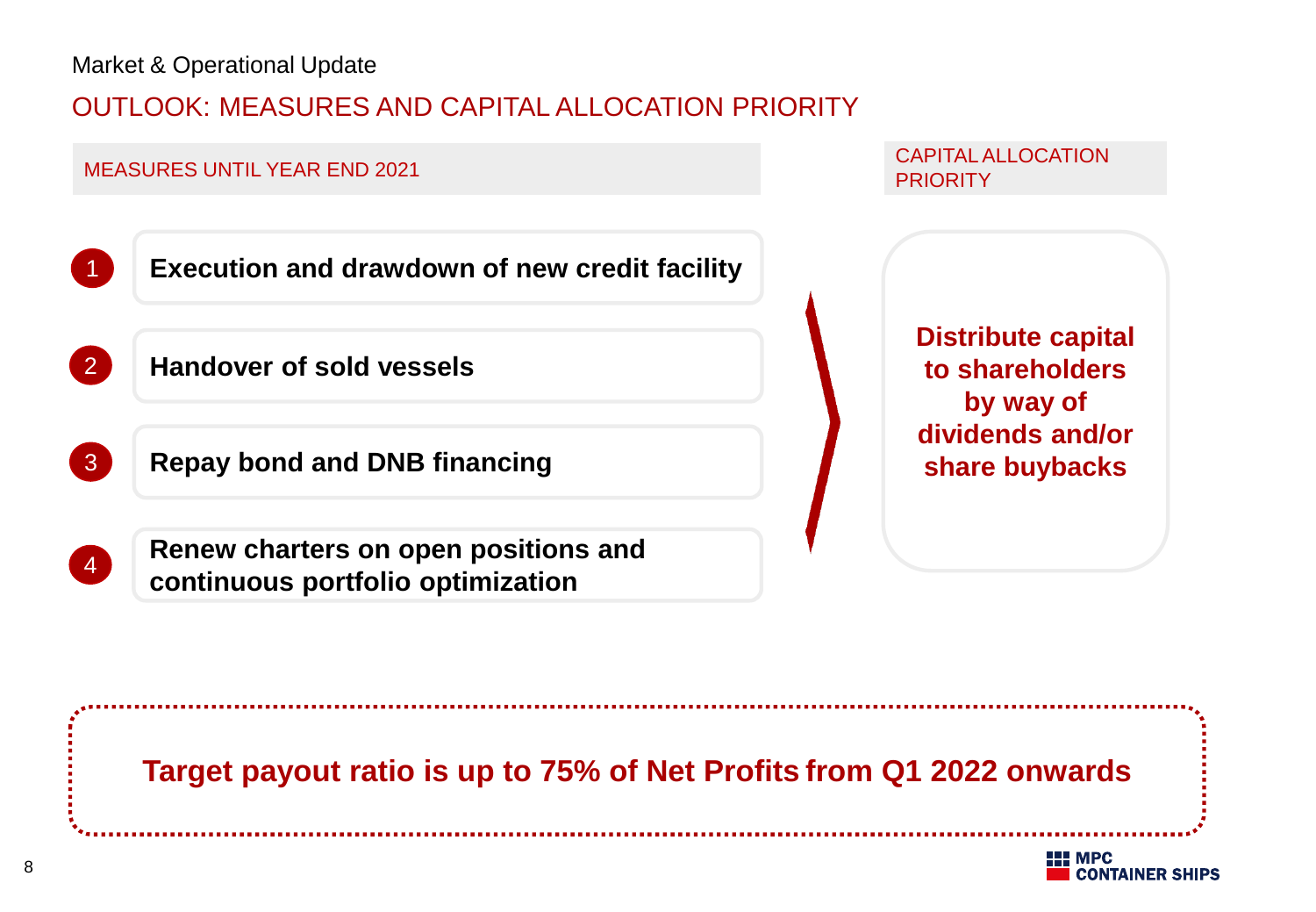## OUTLOOK: MEASURES AND CAPITAL ALLOCATION PRIORITY



CAPITAL ALLOCATION **PRIORITY** 



**continuous portfolio optimization**

**Distribute capital to shareholders by way of dividends and/or share buybacks**

**Target payout ratio is up to 75% of Net Profits from Q1 2022 onwards**

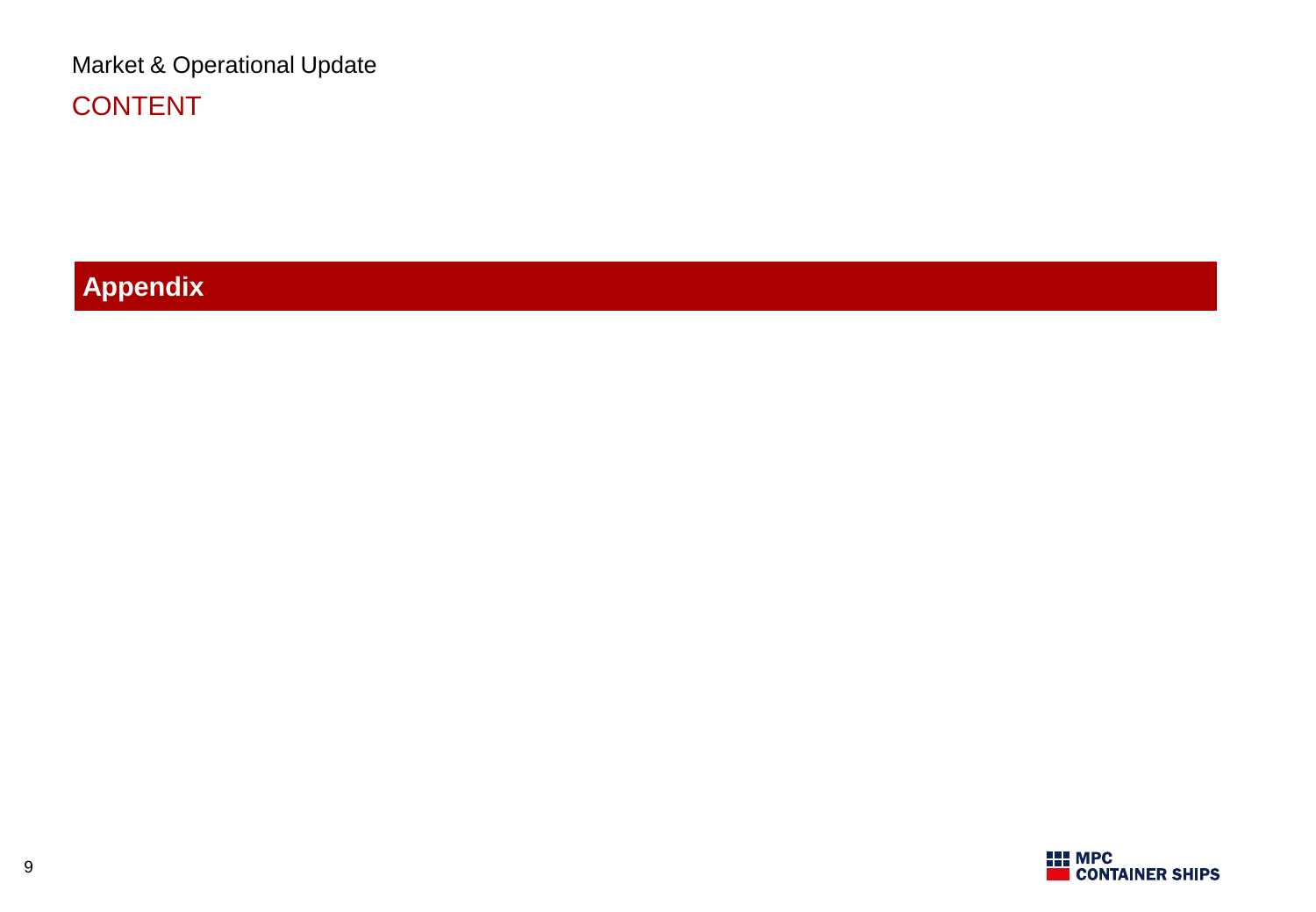Market & Operational Update CONTENT

**Appendix**

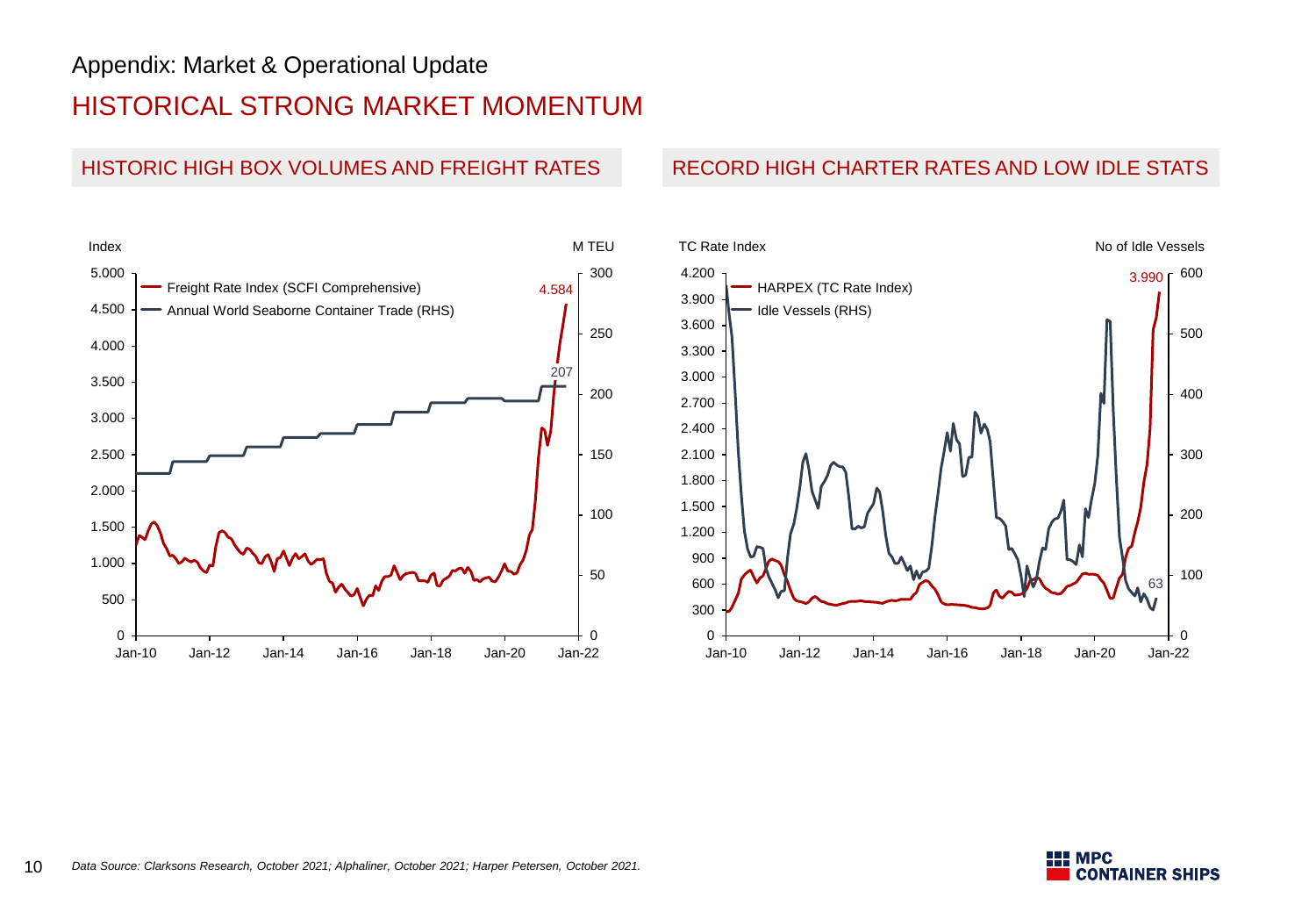## Appendix: Market & Operational Update

## HISTORICAL STRONG MARKET MOMENTUM



#### HISTORIC HIGH BOX VOLUMES AND FREIGHT RATES RECORD HIGH CHARTER RATES AND LOW IDLE STATS



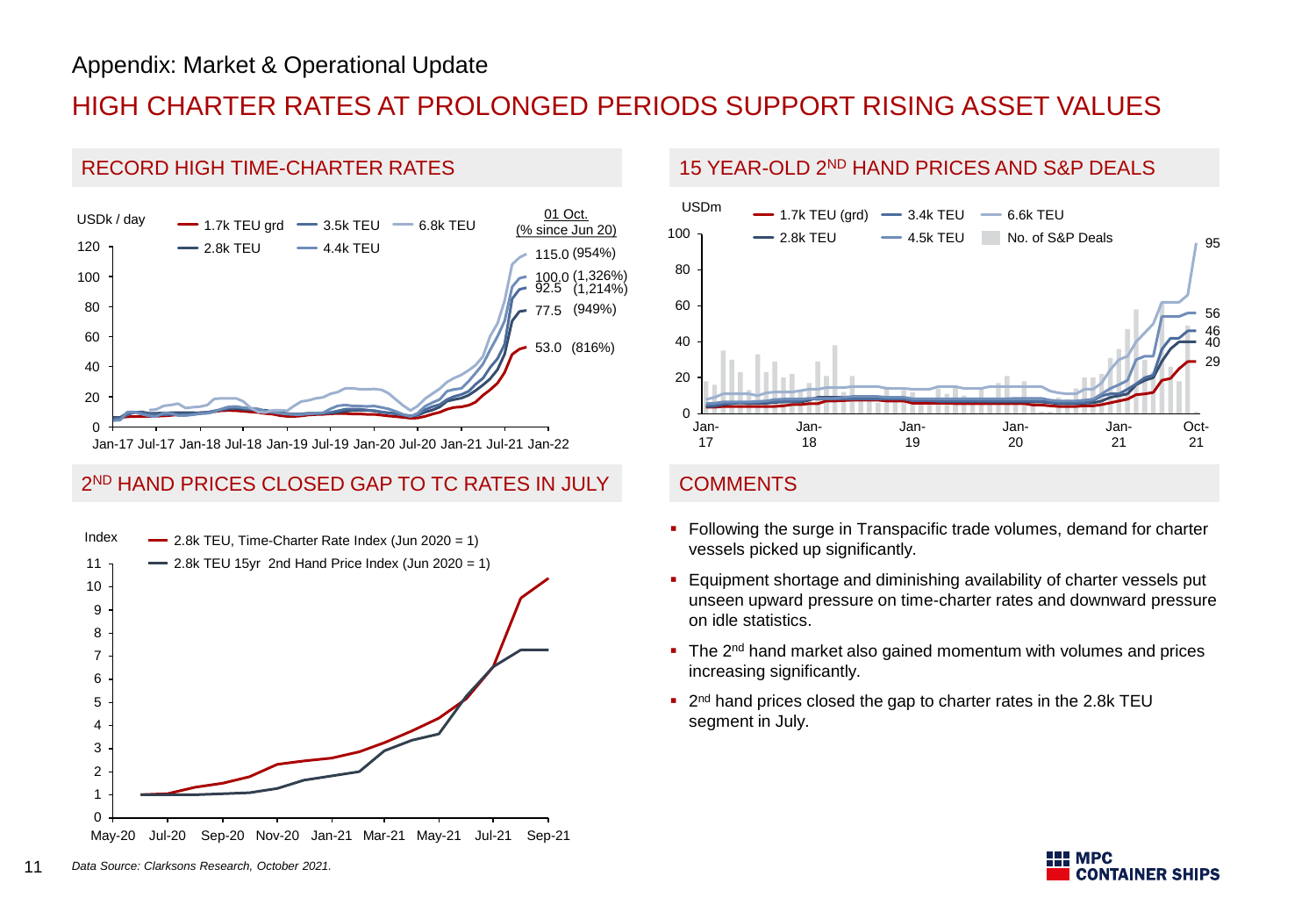# HIGH CHARTER RATES AT PROLONGED PERIODS SUPPORT RISING ASSET VALUES



### 2 ND HAND PRICES CLOSED GAP TO TC RATES IN JULY COMMENTS



#### RECORD HIGH TIME-CHARTER RATES 15 YEAR-OLD 2<sup>ND</sup> HAND PRICES AND S&P DEALS



- Following the surge in Transpacific trade volumes, demand for charter vessels picked up significantly.
- **Equipment shortage and diminishing availability of charter vessels put** unseen upward pressure on time-charter rates and downward pressure on idle statistics.
- The 2<sup>nd</sup> hand market also gained momentum with volumes and prices increasing significantly.
- <sup>2nd</sup> hand prices closed the gap to charter rates in the 2.8k TEU segment in July.

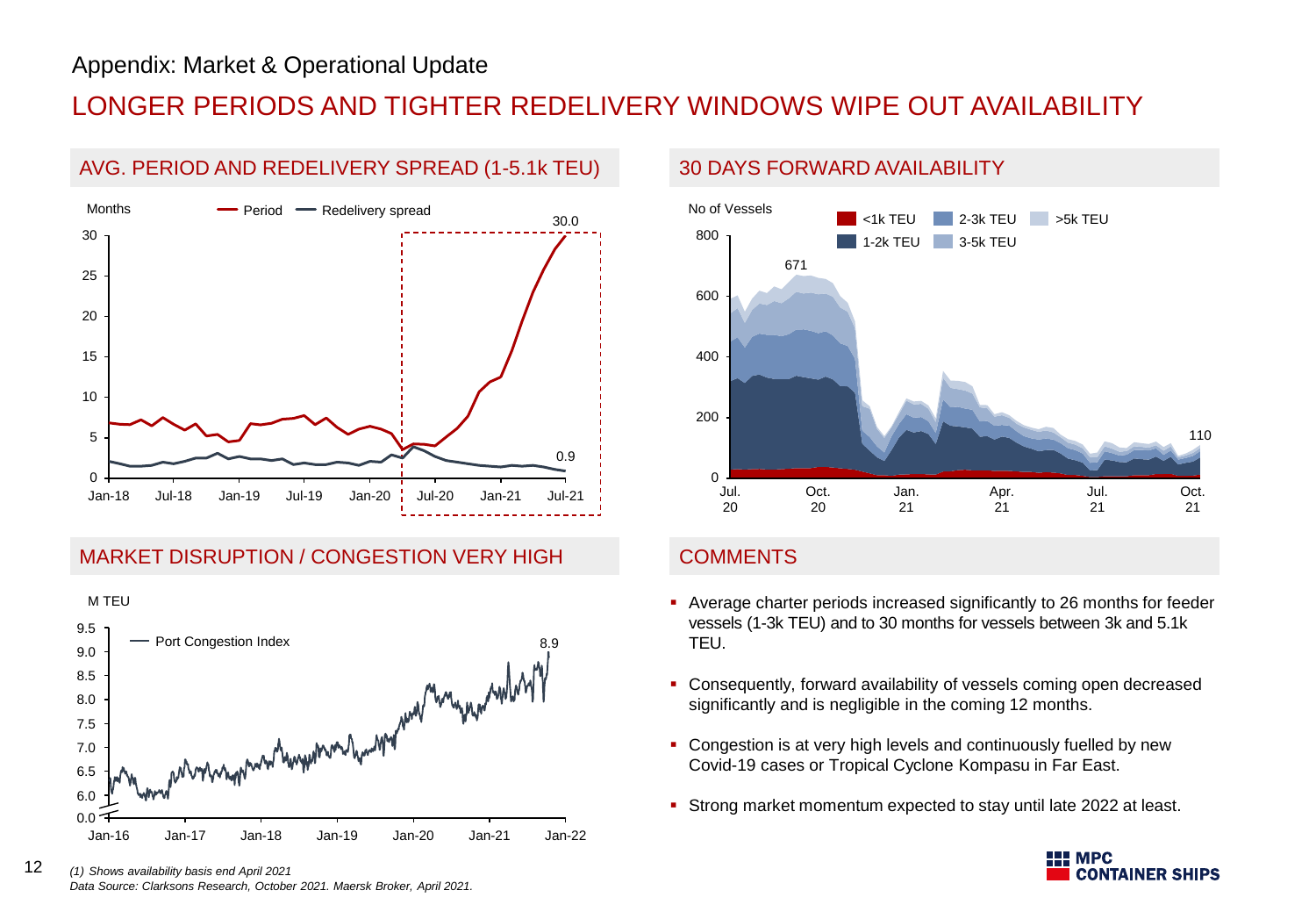## LONGER PERIODS AND TIGHTER REDELIVERY WINDOWS WIPE OUT AVAILABILITY



### AVG. PERIOD AND REDELIVERY SPREAD (1-5.1k TEU) 30 DAYS FORWARD AVAILABILITY







### **COMMENTS**

- Average charter periods increased significantly to 26 months for feeder vessels (1-3k TEU) and to 30 months for vessels between 3k and 5.1k TEU.
- Consequently, forward availability of vessels coming open decreased significantly and is negligible in the coming 12 months.
- Congestion is at very high levels and continuously fuelled by new Covid-19 cases or Tropical Cyclone Kompasu in Far East.
- **Strong market momentum expected to stay until late 2022 at least.**



12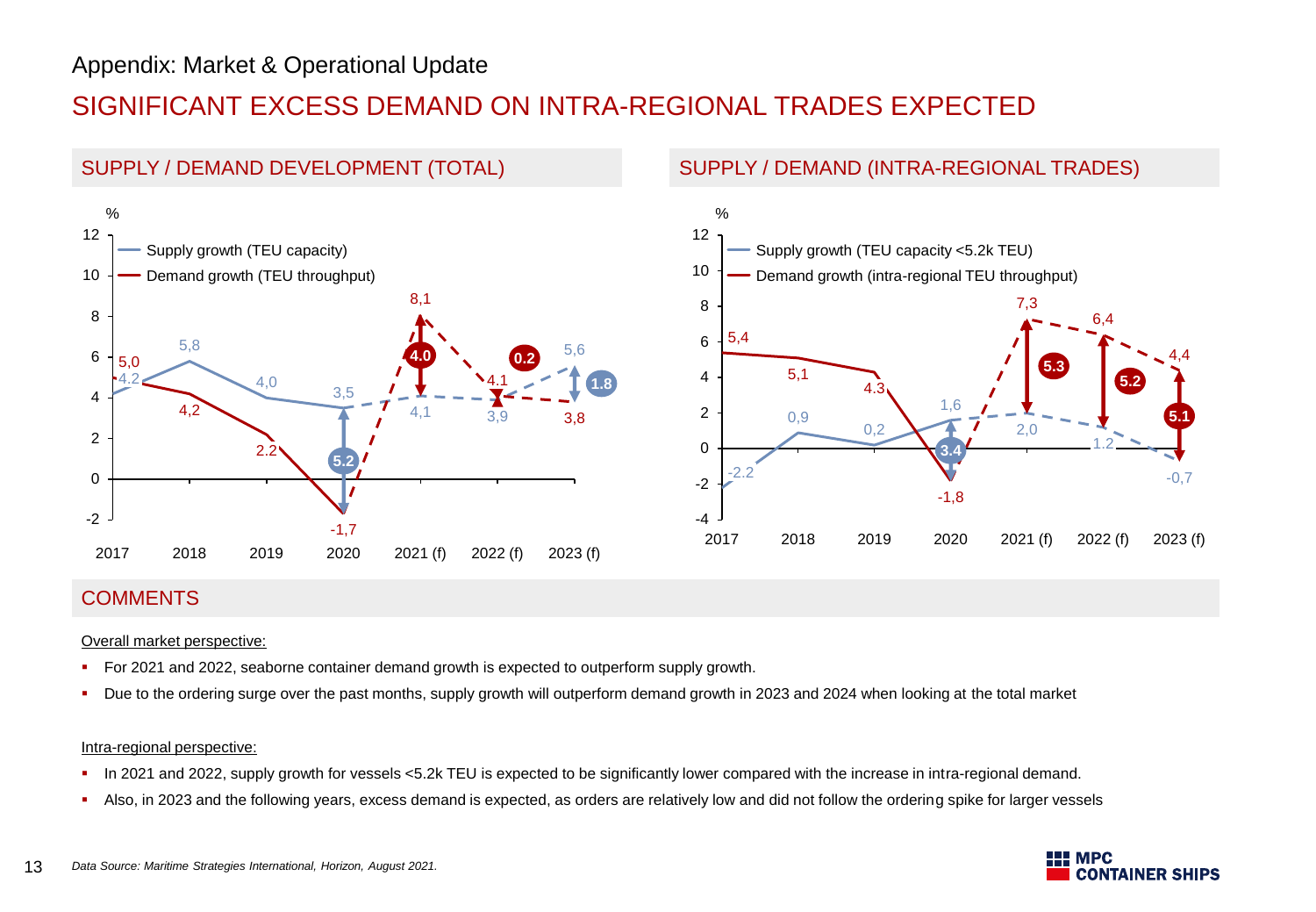# SIGNIFICANT EXCESS DEMAND ON INTRA-REGIONAL TRADES EXPECTED



### **COMMENTS**

#### Overall market perspective:

- For 2021 and 2022, seaborne container demand growth is expected to outperform supply growth.
- Due to the ordering surge over the past months, supply growth will outperform demand growth in 2023 and 2024 when looking at the total market

#### Intra-regional perspective:

- In 2021 and 2022, supply growth for vessels <5.2k TEU is expected to be significantly lower compared with the increase in intra-regional demand.
- Also, in 2023 and the following years, excess demand is expected, as orders are relatively low and did not follow the ordering spike for larger vessels

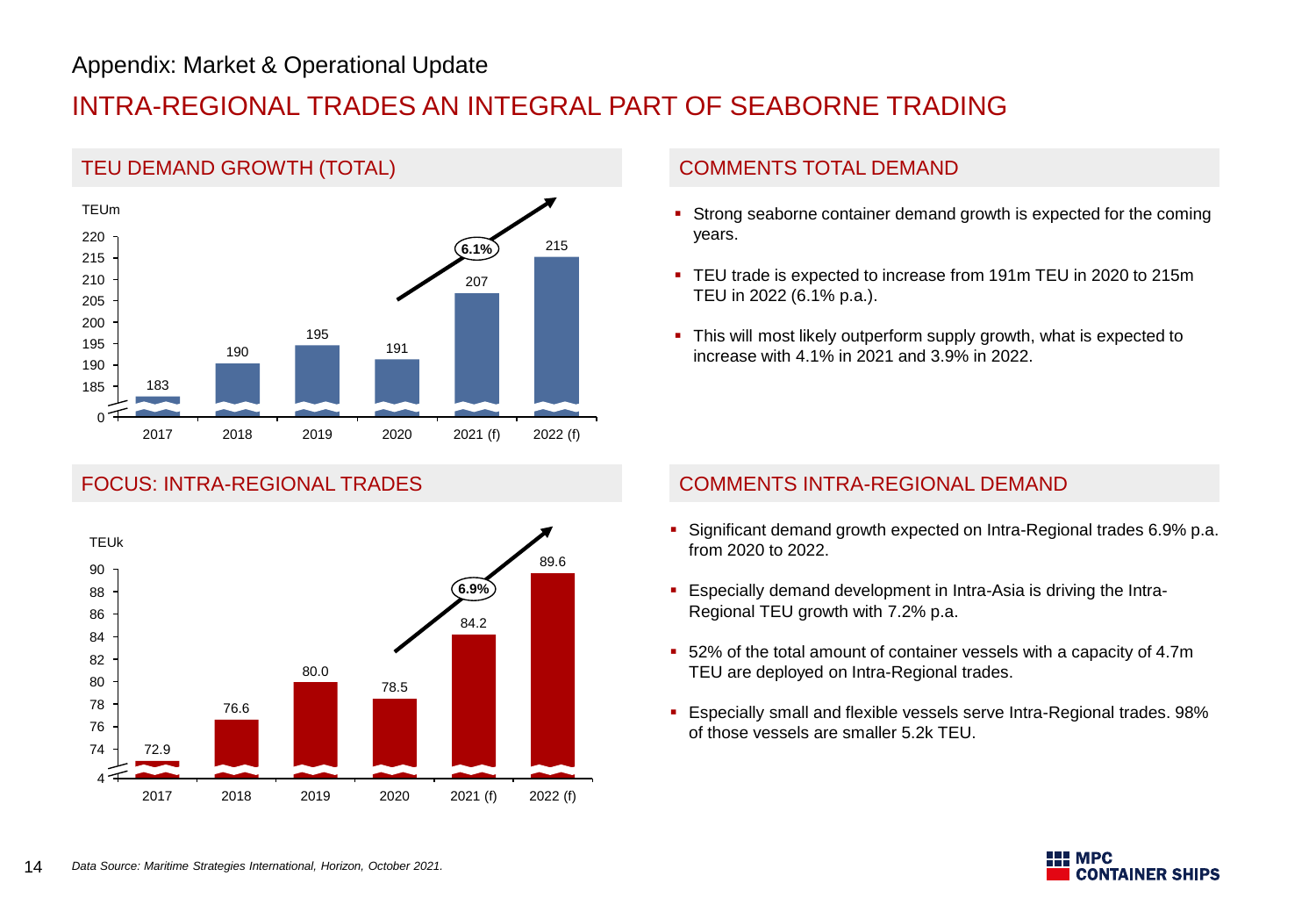## Appendix: Market & Operational Update

# INTRA-REGIONAL TRADES AN INTEGRAL PART OF SEABORNE TRADING





- **Strong seaborne container demand growth is expected for the coming** years.
- TEU trade is expected to increase from 191m TEU in 2020 to 215m TEU in 2022 (6.1% p.a.).
- This will most likely outperform supply growth, what is expected to increase with 4.1% in 2021 and 3.9% in 2022.

### FOCUS: INTRA-REGIONAL TRADES COMMENTS INTRA-REGIONAL DEMAND

- Significant demand growth expected on Intra-Regional trades 6.9% p.a. from 2020 to 2022.
- Especially demand development in Intra-Asia is driving the Intra-Regional TEU growth with 7.2% p.a.
- 52% of the total amount of container vessels with a capacity of 4.7m TEU are deployed on Intra-Regional trades.
- Especially small and flexible vessels serve Intra-Regional trades. 98% of those vessels are smaller 5.2k TEU.

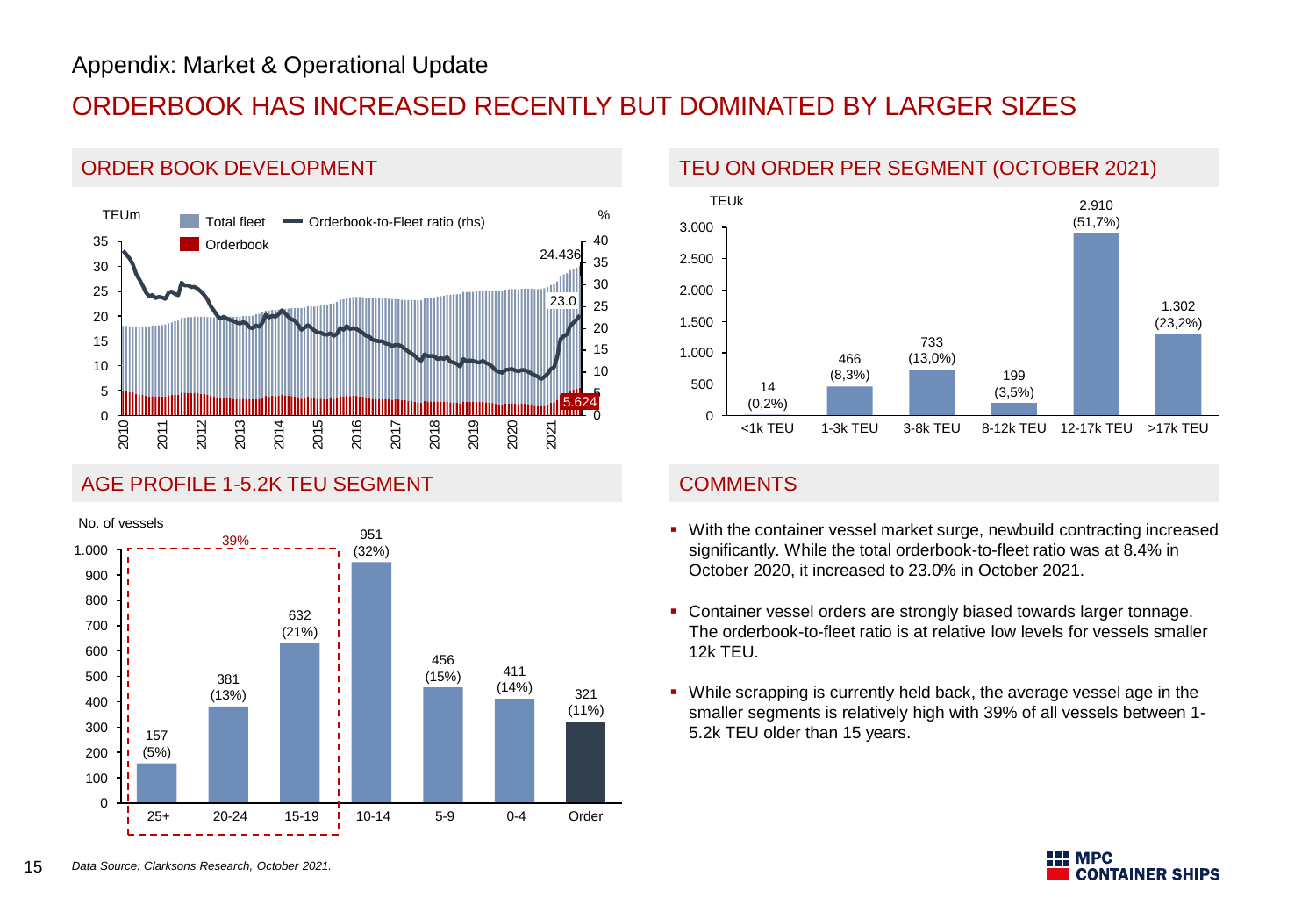ORDER BOOK DEVELOPMENT

# ORDERBOOK HAS INCREASED RECENTLY BUT DOMINATED BY LARGER SIZES

#### 0 5 5.624 10 15 20 25 30 35 40 20  $\Omega$ 5 35 10 15 25 30 2012 2016 TEUm 2018 23.0 % 2010 2011 24.436 2013 2014 2015 2017 2019 2020 2021 Orderbook Total fleet  $\blacksquare$  Orderbook-to-Fleet ratio (rhs)

#### AGE PROFILE 1-5.2K TEU SEGMENT COMMENTS



### TEU ON ORDER PER SEGMENT (OCTOBER 2021)



- 39% With the container vessel market surge, newbuild contracting increased significantly. While the total orderbook-to-fleet ratio was at 8.4% in October 2020, it increased to 23.0% in October 2021.
	- Container vessel orders are strongly biased towards larger tonnage. The orderbook-to-fleet ratio is at relative low levels for vessels smaller 12k TEU.
	- While scrapping is currently held back, the average vessel age in the smaller segments is relatively high with 39% of all vessels between 1- 5.2k TEU older than 15 years.

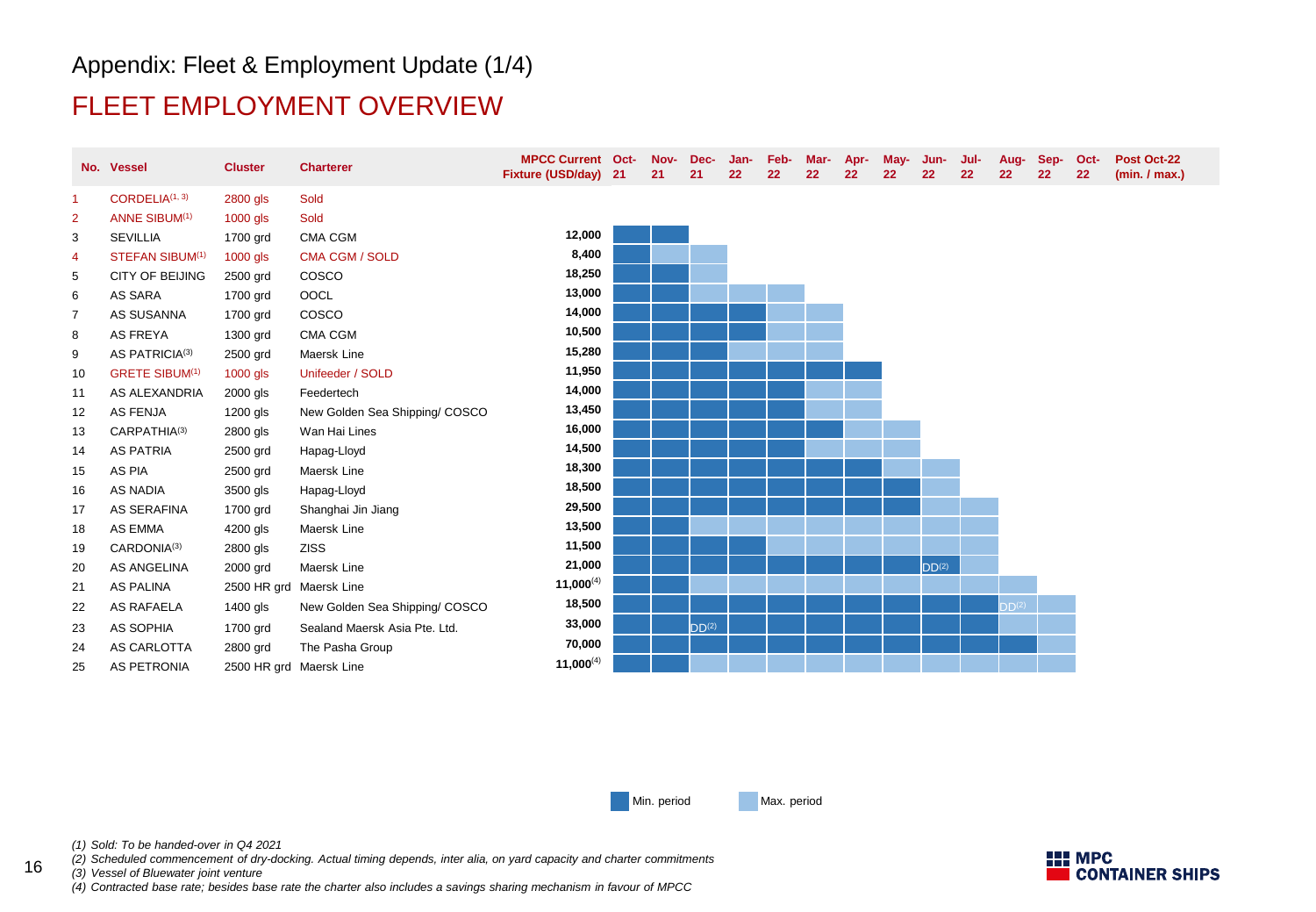## Appendix: Fleet & Employment Update (1/4)

## FLEET EMPLOYMENT OVERVIEW

|                      | No. Vessel                  | <b>Cluster</b>          | <b>Charterer</b>               | <b>MPCC Current Oct-</b><br>Fixture (USD/day) 21 | Nov-<br>21 | Dec-<br>21        | Jan-<br>22 | Feb-<br>22 | Mar-<br>22 | Apr-<br>22 | May-<br>22 | Jun-<br>22        | Jul-<br>22 | Aug-Sep-<br>22    | 22 | Oct-<br>22 | Post Oct-22<br>(min. / max.) |
|----------------------|-----------------------------|-------------------------|--------------------------------|--------------------------------------------------|------------|-------------------|------------|------------|------------|------------|------------|-------------------|------------|-------------------|----|------------|------------------------------|
| $\blacktriangleleft$ | CORDELIA <sup>(1, 3)</sup>  | 2800 gls                | Sold                           |                                                  |            |                   |            |            |            |            |            |                   |            |                   |    |            |                              |
| $\overline{2}$       | <b>ANNE SIBUM(1)</b>        | 1000 gls                | Sold                           |                                                  |            |                   |            |            |            |            |            |                   |            |                   |    |            |                              |
| 3                    | <b>SEVILLIA</b>             | 1700 grd                | CMA CGM                        | 12,000                                           |            |                   |            |            |            |            |            |                   |            |                   |    |            |                              |
| 4                    | STEFAN SIBUM <sup>(1)</sup> | 1000 gls                | <b>CMA CGM / SOLD</b>          | 8,400                                            |            |                   |            |            |            |            |            |                   |            |                   |    |            |                              |
| 5                    | CITY OF BEIJING             | 2500 grd                | COSCO                          | 18,250                                           |            |                   |            |            |            |            |            |                   |            |                   |    |            |                              |
| 6                    | AS SARA                     | 1700 grd                | OOCL                           | 13,000                                           |            |                   |            |            |            |            |            |                   |            |                   |    |            |                              |
| 7                    | AS SUSANNA                  | 1700 grd                | cosco                          | 14,000                                           |            |                   |            |            |            |            |            |                   |            |                   |    |            |                              |
| 8                    | <b>AS FREYA</b>             | 1300 grd                | CMA CGM                        | 10,500                                           |            |                   |            |            |            |            |            |                   |            |                   |    |            |                              |
| 9                    | AS PATRICIA(3)              | 2500 grd                | Maersk Line                    | 15,280                                           |            |                   |            |            |            |            |            |                   |            |                   |    |            |                              |
| 10                   | <b>GRETE SIBUM(1)</b>       | 1000 gls                | Unifeeder / SOLD               | 11,950                                           |            |                   |            |            |            |            |            |                   |            |                   |    |            |                              |
| 11                   | AS ALEXANDRIA               | 2000 gls                | Feedertech                     | 14,000                                           |            |                   |            |            |            |            |            |                   |            |                   |    |            |                              |
| 12                   | AS FENJA                    | $1200$ gls              | New Golden Sea Shipping/ COSCO | 13,450                                           |            |                   |            |            |            |            |            |                   |            |                   |    |            |                              |
| 13                   | CARPATHIA(3)                | 2800 gls                | Wan Hai Lines                  | 16,000                                           |            |                   |            |            |            |            |            |                   |            |                   |    |            |                              |
| 14                   | <b>AS PATRIA</b>            | 2500 grd                | Hapag-Lloyd                    | 14,500                                           |            |                   |            |            |            |            |            |                   |            |                   |    |            |                              |
| 15                   | AS PIA                      | 2500 grd                | Maersk Line                    | 18,300                                           |            |                   |            |            |            |            |            |                   |            |                   |    |            |                              |
| 16                   | AS NADIA                    | 3500 gls                | Hapag-Lloyd                    | 18,500                                           |            |                   |            |            |            |            |            |                   |            |                   |    |            |                              |
| 17                   | AS SERAFINA                 | 1700 grd                | Shanghai Jin Jiang             | 29,500                                           |            |                   |            |            |            |            |            |                   |            |                   |    |            |                              |
| 18                   | AS EMMA                     | 4200 gls                | Maersk Line                    | 13,500                                           |            |                   |            |            |            |            |            |                   |            |                   |    |            |                              |
| 19                   | CARDONIA(3)                 | 2800 gls                | <b>ZISS</b>                    | 11,500                                           |            |                   |            |            |            |            |            |                   |            |                   |    |            |                              |
| 20                   | AS ANGELINA                 | 2000 grd                | Maersk Line                    | 21,000                                           |            |                   |            |            |            |            |            | DD <sup>(2)</sup> |            |                   |    |            |                              |
| 21                   | AS PALINA                   | 2500 HR grd Maersk Line |                                | $11,000^{(4)}$                                   |            |                   |            |            |            |            |            |                   |            |                   |    |            |                              |
| 22                   | AS RAFAELA                  | 1400 gls                | New Golden Sea Shipping/ COSCO | 18,500                                           |            |                   |            |            |            |            |            |                   |            | DD <sup>(2)</sup> |    |            |                              |
| 23                   | AS SOPHIA                   | 1700 grd                | Sealand Maersk Asia Pte. Ltd.  | 33,000                                           |            | DD <sup>(2)</sup> |            |            |            |            |            |                   |            |                   |    |            |                              |
| 24                   | AS CARLOTTA                 | 2800 grd                | The Pasha Group                | 70,000                                           |            |                   |            |            |            |            |            |                   |            |                   |    |            |                              |
| 25                   | AS PETRONIA                 | 2500 HR grd Maersk Line |                                | 11,000 $^{(4)}$                                  |            |                   |            |            |            |            |            |                   |            |                   |    |            |                              |

Min. period Max. period

*(1) Sold: To be handed-over in Q4 2021*

*(2) Scheduled commencement of dry-docking. Actual timing depends, inter alia, on yard capacity and charter commitments*

*(3) Vessel of Bluewater joint venture*

*(4) Contracted base rate; besides base rate the charter also includes a savings sharing mechanism in favour of MPCC*

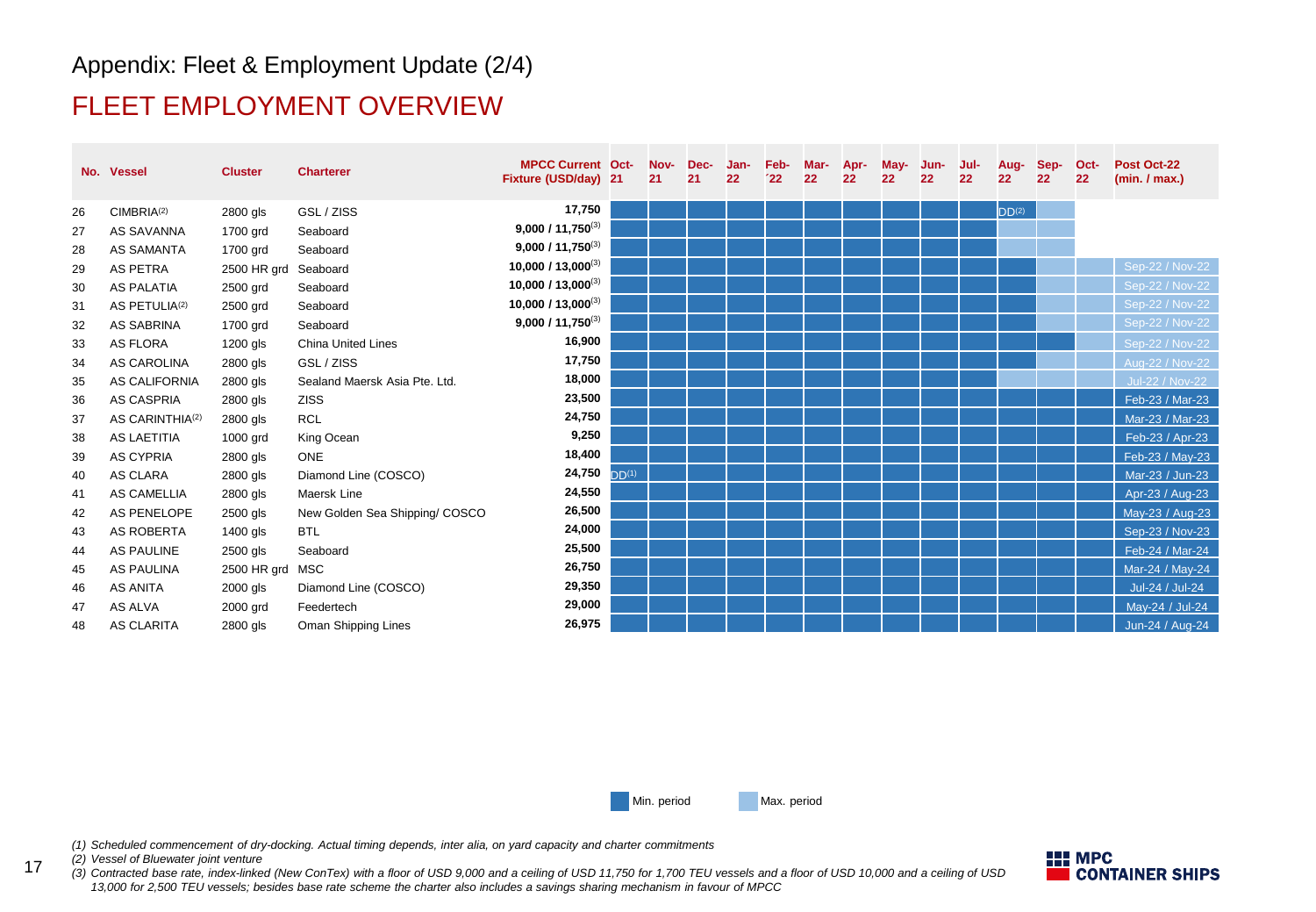## Appendix: Fleet & Employment Update (2/4)

## FLEET EMPLOYMENT OVERVIEW

|    | No. Vessel                  | <b>Cluster</b>       | <b>Charterer</b>               | <b>MPCC Current Oct-</b><br>Fixture (USD/day) 21 |                   | Nov-<br>21 | Dec-<br>21 | Jan-<br>22 | Feb-<br>22 | Mar-<br>22 | Apr-<br>22 | May-<br>22 | Jun-<br>22 | Jul-<br>22 | Aug-<br>22        | Sep-<br>22 | Oct-<br>22 | Post Oct-22<br>(min. / max.) |
|----|-----------------------------|----------------------|--------------------------------|--------------------------------------------------|-------------------|------------|------------|------------|------------|------------|------------|------------|------------|------------|-------------------|------------|------------|------------------------------|
| 26 | CIMBRIA <sup>(2)</sup>      | 2800 gls             | GSL / ZISS                     | 17,750                                           |                   |            |            |            |            |            |            |            |            |            | DD <sup>(2)</sup> |            |            |                              |
| 27 | AS SAVANNA                  | 1700 grd             | Seaboard                       | $9,000/11,750^{(3)}$                             |                   |            |            |            |            |            |            |            |            |            |                   |            |            |                              |
| 28 | AS SAMANTA                  | 1700 grd             | Seaboard                       | $9,000/11,750^{(3)}$                             |                   |            |            |            |            |            |            |            |            |            |                   |            |            |                              |
| 29 | AS PETRA                    | 2500 HR grd Seaboard |                                | 10,000 / 13,000 <sup>(3)</sup>                   |                   |            |            |            |            |            |            |            |            |            |                   |            |            | Sep-22 / Nov-22              |
| 30 | <b>AS PALATIA</b>           | 2500 grd             | Seaboard                       | 10,000 / 13,000 <sup>(3)</sup>                   |                   |            |            |            |            |            |            |            |            |            |                   |            |            | Sep-22 / Nov-22              |
| 31 | AS PETULIA <sup>(2)</sup>   | 2500 grd             | Seaboard                       | 10,000 / 13,000(3)                               |                   |            |            |            |            |            |            |            |            |            |                   |            |            | Sep-22 / Nov-22              |
| 32 | AS SABRINA                  | 1700 grd             | Seaboard                       | $9,000/11,750^{(3)}$                             |                   |            |            |            |            |            |            |            |            |            |                   |            |            | Sep-22 / Nov-22              |
| 33 | AS FLORA                    | 1200 gls             | <b>China United Lines</b>      | 16,900                                           |                   |            |            |            |            |            |            |            |            |            |                   |            |            | Sep-22 / Nov-22              |
| 34 | <b>AS CAROLINA</b>          | 2800 gls             | GSL / ZISS                     | 17,750                                           |                   |            |            |            |            |            |            |            |            |            |                   |            |            | Aug-22 / Nov-22              |
| 35 | AS CALIFORNIA               | 2800 gls             | Sealand Maersk Asia Pte. Ltd.  | 18,000                                           |                   |            |            |            |            |            |            |            |            |            |                   |            |            | <b>Jul-22 / Nov-22</b>       |
| 36 | AS CASPRIA                  | 2800 gls             | <b>ZISS</b>                    | 23,500                                           |                   |            |            |            |            |            |            |            |            |            |                   |            |            | Feb-23 / Mar-23              |
| 37 | AS CARINTHIA <sup>(2)</sup> | 2800 gls             | <b>RCL</b>                     | 24,750                                           |                   |            |            |            |            |            |            |            |            |            |                   |            |            | Mar-23 / Mar-23              |
| 38 | <b>AS LAETITIA</b>          | 1000 grd             | King Ocean                     | 9,250                                            |                   |            |            |            |            |            |            |            |            |            |                   |            |            | Feb-23 / Apr-23              |
| 39 | <b>AS CYPRIA</b>            | 2800 gls             | <b>ONE</b>                     | 18,400                                           |                   |            |            |            |            |            |            |            |            |            |                   |            |            | Feb-23 / May-23              |
| 40 | AS CLARA                    | 2800 gls             | Diamond Line (COSCO)           | 24,750                                           | DD <sup>(1)</sup> |            |            |            |            |            |            |            |            |            |                   |            |            | Mar-23 / Jun-23              |
| 41 | AS CAMELLIA                 | 2800 gls             | Maersk Line                    | 24,550                                           |                   |            |            |            |            |            |            |            |            |            |                   |            |            | Apr-23 / Aug-23              |
| 42 | AS PENELOPE                 | 2500 gls             | New Golden Sea Shipping/ COSCO | 26,500                                           |                   |            |            |            |            |            |            |            |            |            |                   |            |            | May-23 / Aug-23              |
| 43 | AS ROBERTA                  | 1400 gls             | <b>BTL</b>                     | 24,000                                           |                   |            |            |            |            |            |            |            |            |            |                   |            |            | Sep-23 / Nov-23              |
| 44 | <b>AS PAULINE</b>           | 2500 gls             | Seaboard                       | 25,500                                           |                   |            |            |            |            |            |            |            |            |            |                   |            |            | Feb-24 / Mar-24              |
| 45 | <b>AS PAULINA</b>           | 2500 HR grd MSC      |                                | 26,750                                           |                   |            |            |            |            |            |            |            |            |            |                   |            |            | Mar-24 / May-24              |
| 46 | <b>AS ANITA</b>             | 2000 gls             | Diamond Line (COSCO)           | 29,350                                           |                   |            |            |            |            |            |            |            |            |            |                   |            |            | Jul-24 / Jul-24              |
| 47 | AS ALVA                     | 2000 grd             | Feedertech                     | 29,000                                           |                   |            |            |            |            |            |            |            |            |            |                   |            |            | May-24 / Jul-24              |
| 48 | <b>AS CLARITA</b>           | 2800 gls             | Oman Shipping Lines            | 26,975                                           |                   |            |            |            |            |            |            |            |            |            |                   |            |            | Jun-24 / Aug-24              |

Min. period Max. period

*(1) Scheduled commencement of dry-docking. Actual timing depends, inter alia, on yard capacity and charter commitments*

*(2) Vessel of Bluewater joint venture*

17

*(3) Contracted base rate, index-linked (New ConTex) with a floor of USD 9,000 and a ceiling of USD 11,750 for 1,700 TEU vessels and a floor of USD 10,000 and a ceiling of USD 13,000 for 2,500 TEU vessels; besides base rate scheme the charter also includes a savings sharing mechanism in favour of MPCC*

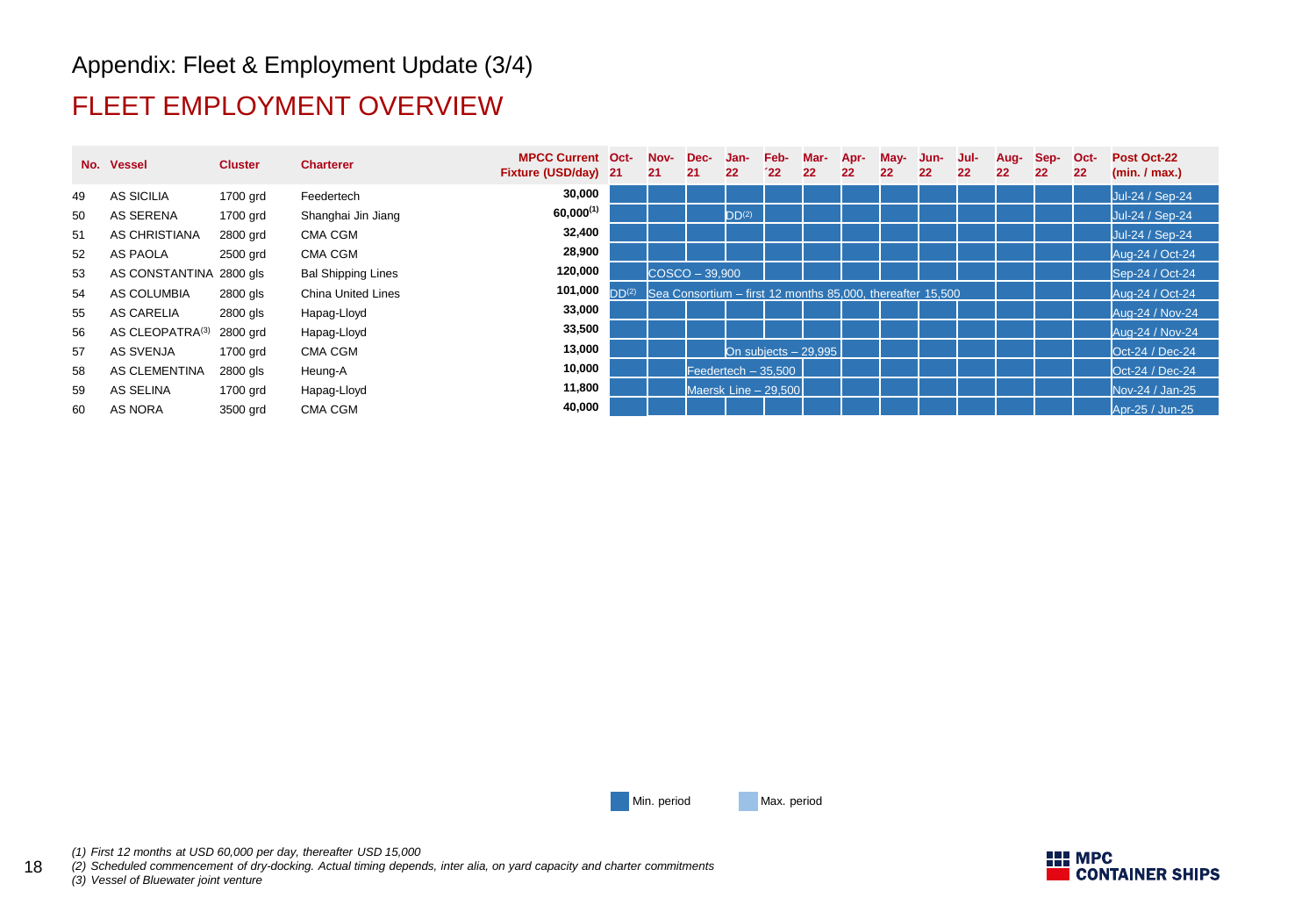## Appendix: Fleet & Employment Update (3/4)

## FLEET EMPLOYMENT OVERVIEW

|    | No. Vessel              | <b>Cluster</b> | <b>Charterer</b>          | <b>MPCC Current Oct-</b><br>Fixture (USD/day) 21 |                   | Nov-<br>21                                                 | Dec-<br>21 | Jan-<br>22           | Feb-<br>22 | Mar-<br>22            | Apr-<br>22 | May-<br>22 | Jun-<br>22 | Jul-<br>22 | Aug-<br>22 | Sep-<br>22 | Oct-<br>22 | Post Oct-22<br>(min. / max.) |
|----|-------------------------|----------------|---------------------------|--------------------------------------------------|-------------------|------------------------------------------------------------|------------|----------------------|------------|-----------------------|------------|------------|------------|------------|------------|------------|------------|------------------------------|
| 49 | AS SICILIA              | 1700 grd       | Feedertech                | 30,000                                           |                   |                                                            |            |                      |            |                       |            |            |            |            |            |            |            | Jul-24 / Sep-24              |
| 50 | AS SERENA               | 1700 grd       | Shanghai Jin Jiang        | $60,000^{(1)}$                                   |                   |                                                            |            | DD <sup>(2)</sup>    |            |                       |            |            |            |            |            |            |            | Jul-24 / Sep-24              |
| 51 | AS CHRISTIANA           | 2800 grd       | <b>CMA CGM</b>            | 32,400                                           |                   |                                                            |            |                      |            |                       |            |            |            |            |            |            |            | Jul-24 / Sep-24              |
| 52 | AS PAOLA                | 2500 grd       | CMA CGM                   | 28,900                                           |                   |                                                            |            |                      |            |                       |            |            |            |            |            |            |            | Aug-24 / Oct-24              |
| 53 | AS CONSTANTINA 2800 gls |                | <b>Bal Shipping Lines</b> | 120,000                                          |                   | $COSCO - 39.900$                                           |            |                      |            |                       |            |            |            |            |            |            |            | Sep-24 / Oct-24              |
| 54 | AS COLUMBIA             | 2800 gls       | <b>China United Lines</b> | 101,000                                          | DD <sup>(2)</sup> | Sea Consortium – first 12 months 85,000, thereafter 15,500 |            |                      |            |                       |            |            |            |            |            |            |            | Aug-24 / Oct-24              |
| 55 | AS CARELIA              | 2800 gls       | Hapag-Lloyd               | 33,000                                           |                   |                                                            |            |                      |            |                       |            |            |            |            |            |            |            | Aug-24 / Nov-24              |
| 56 | AS CLEOPATRA(3)         | 2800 grd       | Hapag-Lloyd               | 33,500                                           |                   |                                                            |            |                      |            |                       |            |            |            |            |            |            |            | Aug-24 / Nov-24              |
| 57 | AS SVENJA               | 1700 grd       | CMA CGM                   | 13,000                                           |                   |                                                            |            |                      |            | On subjects $-29.995$ |            |            |            |            |            |            |            | Oct-24 / Dec-24              |
| 58 | AS CLEMENTINA           | 2800 gls       | Heung-A                   | 10,000                                           |                   |                                                            |            | Feedertech $-35,500$ |            |                       |            |            |            |            |            |            |            | Oct-24 / Dec-24              |
| 59 | AS SELINA               | 1700 grd       | Hapag-Lloyd               | 11,800                                           |                   |                                                            |            | Maersk Line - 29.500 |            |                       |            |            |            |            |            |            |            | Nov-24 / Jan-25              |
| 60 | AS NORA                 | 3500 grd       | <b>CMA CGM</b>            | 40,000                                           |                   |                                                            |            |                      |            |                       |            |            |            |            |            |            |            | Apr-25 / Jun-25              |

Min. period Max. period

18 *(2) Scheduled commencement of dry-docking. Actual timing depends, inter alia, on yard capacity and charter commitments (3) Vessel of Bluewater joint venture*